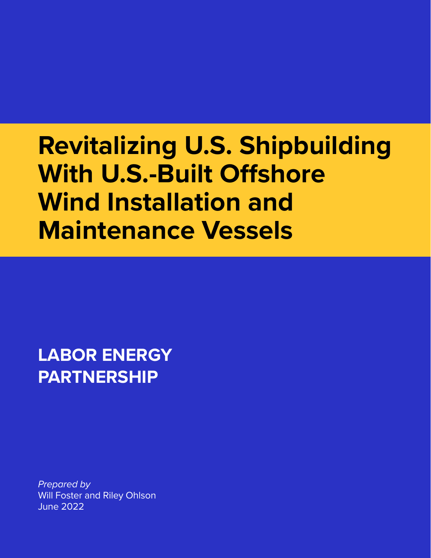# **Revitalizing U.S. Shipbuilding With U.S.-Built Offshore Wind Installation and Maintenance Vessels**

**LABOR ENERGY PARTNERSHIP**

*Prepared by*  Will Foster and Riley Ohlson June 2022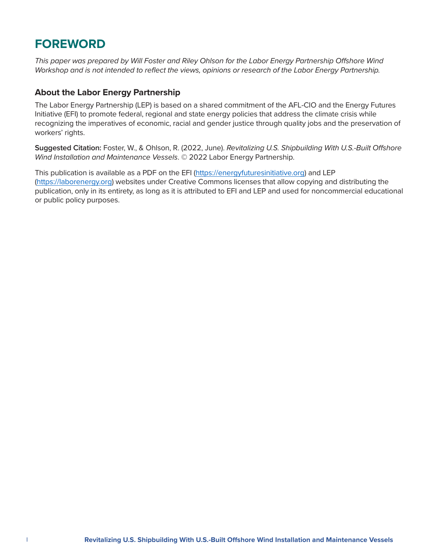### **FOREWORD**

*This paper was prepared by Will Foster and Riley Ohlson for the Labor Energy Partnership Offshore Wind Workshop and is not intended to reflect the views, opinions or research of the Labor Energy Partnership.*

#### **About the Labor Energy Partnership**

The Labor Energy Partnership (LEP) is based on a shared commitment of the AFL-CIO and the Energy Futures Initiative (EFI) to promote federal, regional and state energy policies that address the climate crisis while recognizing the imperatives of economic, racial and gender justice through quality jobs and the preservation of workers' rights.

**Suggested Citation:** Foster, W., & Ohlson, R. (2022, June). *Revitalizing U.S. Shipbuilding With U.S.-Built Offshore Wind Installation and Maintenance Vessels*. © 2022 Labor Energy Partnership.

This publication is available as a PDF on the EFI [\(https://energyfuturesinitiative.org\)]((https://energyfuturesinitiative.org) and LEP [\(https://laborenergy.org\)](https://laborenergy.org) websites under Creative Commons licenses that allow copying and distributing the publication, only in its entirety, as long as it is attributed to EFI and LEP and used for noncommercial educational or public policy purposes.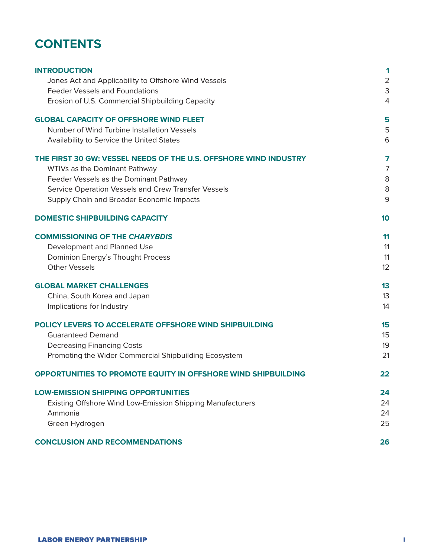### **CONTENTS**

| <b>INTRODUCTION</b><br>Jones Act and Applicability to Offshore Wind Vessels               | 1<br>$\overline{a}$ |
|-------------------------------------------------------------------------------------------|---------------------|
| <b>Feeder Vessels and Foundations</b><br>Erosion of U.S. Commercial Shipbuilding Capacity | 3<br>4              |
| <b>GLOBAL CAPACITY OF OFFSHORE WIND FLEET</b>                                             | 5                   |
| Number of Wind Turbine Installation Vessels<br>Availability to Service the United States  | 5<br>6              |
| THE FIRST 30 GW: VESSEL NEEDS OF THE U.S. OFFSHORE WIND INDUSTRY                          | 7                   |
| WTIVs as the Dominant Pathway                                                             | 7                   |
| Feeder Vessels as the Dominant Pathway                                                    | 8                   |
| Service Operation Vessels and Crew Transfer Vessels                                       | 8                   |
| Supply Chain and Broader Economic Impacts                                                 | 9                   |
| <b>DOMESTIC SHIPBUILDING CAPACITY</b>                                                     | 10                  |
| <b>COMMISSIONING OF THE CHARYBDIS</b>                                                     | 11                  |
| Development and Planned Use                                                               | 11                  |
| Dominion Energy's Thought Process                                                         | 11                  |
| <b>Other Vessels</b>                                                                      | 12                  |
| <b>GLOBAL MARKET CHALLENGES</b>                                                           | 13                  |
| China, South Korea and Japan                                                              | 13                  |
| Implications for Industry                                                                 | 14                  |
| POLICY LEVERS TO ACCELERATE OFFSHORE WIND SHIPBUILDING                                    | 15                  |
| <b>Guaranteed Demand</b>                                                                  | 15                  |
| <b>Decreasing Financing Costs</b>                                                         | 19                  |
| Promoting the Wider Commercial Shipbuilding Ecosystem                                     | 21                  |
| OPPORTUNITIES TO PROMOTE EQUITY IN OFFSHORE WIND SHIPBUILDING                             | 22                  |
| <b>LOW-EMISSION SHIPPING OPPORTUNITIES</b>                                                | 24                  |
| Existing Offshore Wind Low-Emission Shipping Manufacturers                                | 24                  |
| Ammonia                                                                                   | 24                  |
| Green Hydrogen                                                                            | 25                  |
| <b>CONCLUSION AND RECOMMENDATIONS</b>                                                     | 26                  |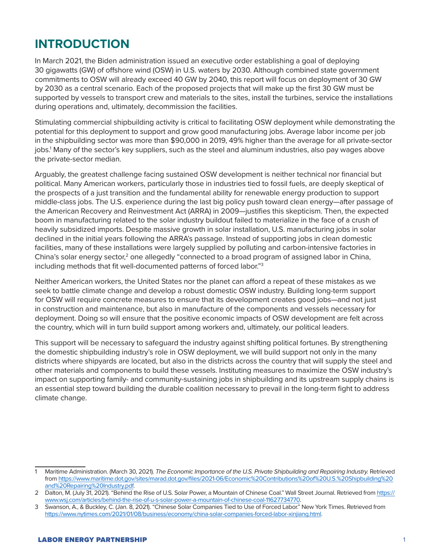### **INTRODUCTION**

In March 2021, the Biden administration issued an executive order establishing a goal of deploying 30 gigawatts (GW) of offshore wind (OSW) in U.S. waters by 2030. Although combined state government commitments to OSW will already exceed 40 GW by 2040, this report will focus on deployment of 30 GW by 2030 as a central scenario. Each of the proposed projects that will make up the first 30 GW must be supported by vessels to transport crew and materials to the sites, install the turbines, service the installations during operations and, ultimately, decommission the facilities.

Stimulating commercial shipbuilding activity is critical to facilitating OSW deployment while demonstrating the potential for this deployment to support and grow good manufacturing jobs. Average labor income per job in the shipbuilding sector was more than \$90,000 in 2019, 49% higher than the average for all private-sector jobs.<sup>1</sup> Many of the sector's key suppliers, such as the steel and aluminum industries, also pay wages above the private-sector median.

Arguably, the greatest challenge facing sustained OSW development is neither technical nor financial but political. Many American workers, particularly those in industries tied to fossil fuels, are deeply skeptical of the prospects of a just transition and the fundamental ability for renewable energy production to support middle-class jobs. The U.S. experience during the last big policy push toward clean energy—after passage of the American Recovery and Reinvestment Act (ARRA) in 2009—justifies this skepticism. Then, the expected boom in manufacturing related to the solar industry buildout failed to materialize in the face of a crush of heavily subsidized imports. Despite massive growth in solar installation, U.S. manufacturing jobs in solar declined in the initial years following the ARRA's passage. Instead of supporting jobs in clean domestic facilities, many of these installations were largely supplied by polluting and carbon-intensive factories in China's solar energy sector, $2$  one allegedly "connected to a broad program of assigned labor in China, including methods that fit well-documented patterns of forced labor."3

Neither American workers, the United States nor the planet can afford a repeat of these mistakes as we seek to battle climate change and develop a robust domestic OSW industry. Building long-term support for OSW will require concrete measures to ensure that its development creates good jobs—and not just in construction and maintenance, but also in manufacture of the components and vessels necessary for deployment. Doing so will ensure that the positive economic impacts of OSW development are felt across the country, which will in turn build support among workers and, ultimately, our political leaders.

This support will be necessary to safeguard the industry against shifting political fortunes. By strengthening the domestic shipbuilding industry's role in OSW deployment, we will build support not only in the many districts where shipyards are located, but also in the districts across the country that will supply the steel and other materials and components to build these vessels. Instituting measures to maximize the OSW industry's impact on supporting family- and community-sustaining jobs in shipbuilding and its upstream supply chains is an essential step toward building the durable coalition necessary to prevail in the long-term fight to address climate change.

<sup>1</sup> Maritime Administration. (March 30, 2021). *The Economic Importance of the U.S. Private Shipbuilding and Repairing Industry.* Retrieved from [https://www.maritime.dot.gov/sites/marad.dot.gov/files/2021-06/Economic%20Contributions%20of%20U.S.%20Shipbuilding%20](https://www.maritime.dot.gov/sites/marad.dot.gov/files/2021-06/Economic Contributions of U.S. Shipbuilding and Repairing Industry.pdf) [and%20Repairing%20Industry.pdf.](https://www.maritime.dot.gov/sites/marad.dot.gov/files/2021-06/Economic Contributions of U.S. Shipbuilding and Repairing Industry.pdf)

<sup>2</sup> Dalton, M. (July 31, 2021). "Behind the Rise of U.S. Solar Power, a Mountain of Chinese Coal." Wall Street Journal. Retrieved from [https://](https://www.wsj.com/articles/behind-the-rise-of-u-s-solar-power-a-mountain-of-chinese-coal-11627734770) [www.wsj.com/articles/behind-the-rise-of-u-s-solar-power-a-mountain-of-chinese-coal-11627734770](https://www.wsj.com/articles/behind-the-rise-of-u-s-solar-power-a-mountain-of-chinese-coal-11627734770).

<sup>3</sup> Swanson, A., & Buckley, C. (Jan. 8, 2021). "Chinese Solar Companies Tied to Use of Forced Labor." New York Times. Retrieved from <https://www.nytimes.com/2021/01/08/business/economy/china-solar-companies-forced-labor-xinjiang.html>.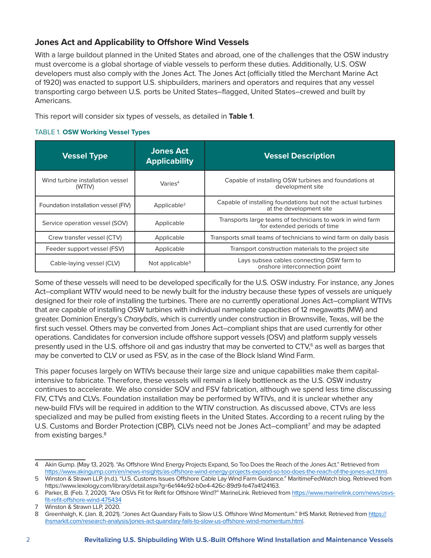#### **Jones Act and Applicability to Offshore Wind Vessels**

With a large buildout planned in the United States and abroad, one of the challenges that the OSW industry must overcome is a global shortage of viable vessels to perform these duties. Additionally, U.S. OSW developers must also comply with the Jones Act. The Jones Act (officially titled the Merchant Marine Act of 1920) was enacted to support U.S. shipbuilders, mariners and operators and requires that any vessel transporting cargo between U.S. ports be United States–flagged, United States–crewed and built by Americans.

This report will consider six types of vessels, as detailed in **Table 1**.

#### TABLE 1. **OSW Working Vessel Types**

| <b>Vessel Type</b>                         | <b>Jones Act</b><br><b>Applicability</b> | <b>Vessel Description</b>                                                                  |  |
|--------------------------------------------|------------------------------------------|--------------------------------------------------------------------------------------------|--|
| Wind turbine installation vessel<br>(WTIV) | Varies <sup>4</sup>                      | Capable of installing OSW turbines and foundations at<br>development site                  |  |
| Foundation installation vessel (FIV)       | Applicable $2$                           | Capable of installing foundations but not the actual turbines<br>at the development site   |  |
| Service operation vessel (SOV)             | Applicable                               | Transports large teams of technicians to work in wind farm<br>for extended periods of time |  |
| Crew transfer vessel (CTV)                 | Applicable                               | Transports small teams of technicians to wind farm on daily basis                          |  |
| Feeder support vessel (FSV)                | Applicable                               | Transport construction materials to the project site                                       |  |
| Cable-laying vessel (CLV)                  | Not applicable <sup>5</sup>              | Lays subsea cables connecting OSW farm to<br>onshore interconnection point                 |  |

Some of these vessels will need to be developed specifically for the U.S. OSW industry. For instance, any Jones Act–compliant WTIV would need to be newly built for the industry because these types of vessels are uniquely designed for their role of installing the turbines. There are no currently operational Jones Act–compliant WTIVs that are capable of installing OSW turbines with individual nameplate capacities of 12 megawatts (MW) and greater. Dominion Energy's *Charybdis*, which is currently under construction in Brownsville, Texas, will be the first such vessel. Others may be converted from Jones Act–compliant ships that are used currently for other operations. Candidates for conversion include offshore support vessels (OSV) and platform supply vessels presently used in the U.S. offshore oil and gas industry that may be converted to CTV,<sup>6</sup> as well as barges that may be converted to CLV or used as FSV, as in the case of the Block Island Wind Farm.

This paper focuses largely on WTIVs because their large size and unique capabilities make them capitalintensive to fabricate. Therefore, these vessels will remain a likely bottleneck as the U.S. OSW industry continues to accelerate. We also consider SOV and FSV fabrication, although we spend less time discussing FIV, CTVs and CLVs. Foundation installation may be performed by WTIVs, and it is unclear whether any new-build FIVs will be required in addition to the WTIV construction. As discussed above, CTVs are less specialized and may be pulled from existing fleets in the United States. According to a recent ruling by the U.S. Customs and Border Protection (CBP), CLVs need not be Jones Act-compliant<sup>7</sup> and may be adapted from existing barges.<sup>8</sup>

<sup>4</sup> Akin Gump. (May 13, 2021). "As Offshore Wind Energy Projects Expand, So Too Does the Reach of the Jones Act." Retrieved from [https://www.akingump.com/en/news-insights/as-offshore-wind-energy-projects-expand-so-too-does-the-reach-of-the-jones-act.html.](https://www.akingump.com/en/news-insights/as-offshore-wind-energy-projects-expand-so-too-does-the-reach-of-the-jones-act.html) 5 Winston & Strawn LLP. (n.d.). "U.S. Customs Issues Offshore Cable Lay Wind Farm Guidance." MaritimeFedWatch blog. Retrieved from

[https://www.lexology.com/library/detail.aspx?g=6e144e92-b0e4-426c-89d9-fe47a4124163.](https://www.lexology.com/library/detail.aspx?g=6e144e92-b0e4-426c-89d9-fe47a4124163)

<sup>6</sup> Parker, B. (Feb. 7, 2020). "Are OSVs Fit for Refit for Offshore Wind?" MarineLink. Retrieved from [https://www.marinelink.com/news/osvs](https://www.marinelink.com/news/osvs-fit-refit-offshore-wind-475434)[fit-refit-offshore-wind-475434](https://www.marinelink.com/news/osvs-fit-refit-offshore-wind-475434)

<sup>7</sup> Winston & Strawn LLP, 2020.

<sup>8</sup> Greenhalgh, K. (Jan. 8, 2021). "Jones Act Quandary Fails to Slow U.S. Offshore Wind Momentum." IHS Markit. Retrieved from [https://](https://ihsmarkit.com/research-analysis/jones-act-quandary-fails-to-slow-us-offshore-wind-momentum.html) [ihsmarkit.com/research-analysis/jones-act-quandary-fails-to-slow-us-offshore-wind-momentum.html.](https://ihsmarkit.com/research-analysis/jones-act-quandary-fails-to-slow-us-offshore-wind-momentum.html)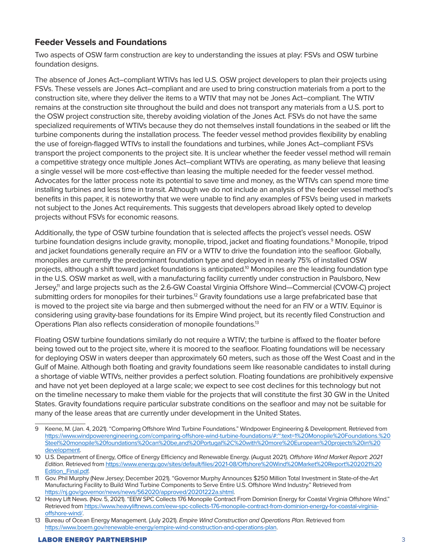#### **Feeder Vessels and Foundations**

Two aspects of OSW farm construction are key to understanding the issues at play: FSVs and OSW turbine foundation designs.

The absence of Jones Act–compliant WTIVs has led U.S. OSW project developers to plan their projects using FSVs. These vessels are Jones Act–compliant and are used to bring construction materials from a port to the construction site, where they deliver the items to a WTIV that may not be Jones Act–compliant. The WTIV remains at the construction site throughout the build and does not transport any materials from a U.S. port to the OSW project construction site, thereby avoiding violation of the Jones Act. FSVs do not have the same specialized requirements of WTIVs because they do not themselves install foundations in the seabed or lift the turbine components during the installation process. The feeder vessel method provides flexibility by enabling the use of foreign-flagged WTIVs to install the foundations and turbines, while Jones Act–compliant FSVs transport the project components to the project site. It is unclear whether the feeder vessel method will remain a competitive strategy once multiple Jones Act–compliant WTIVs are operating, as many believe that leasing a single vessel will be more cost-effective than leasing the multiple needed for the feeder vessel method. Advocates for the latter process note its potential to save time and money, as the WTIVs can spend more time installing turbines and less time in transit. Although we do not include an analysis of the feeder vessel method's benefits in this paper, it is noteworthy that we were unable to find any examples of FSVs being used in markets not subject to the Jones Act requirements. This suggests that developers abroad likely opted to develop projects without FSVs for economic reasons.

Additionally, the type of OSW turbine foundation that is selected affects the project's vessel needs. OSW turbine foundation designs include gravity, monopile, tripod, jacket and floating foundations.<sup>9</sup> Monopile, tripod and jacket foundations generally require an FIV or a WTIV to drive the foundation into the seafloor. Globally, monopiles are currently the predominant foundation type and deployed in nearly 75% of installed OSW projects, although a shift toward jacket foundations is anticipated.10 Monopiles are the leading foundation type in the U.S. OSW market as well, with a manufacturing facility currently under construction in Paulsboro, New Jersey,<sup>11</sup> and large projects such as the 2.6-GW Coastal Virginia Offshore Wind—Commercial (CVOW-C) project submitting orders for monopiles for their turbines.<sup>12</sup> Gravity foundations use a large prefabricated base that is moved to the project site via barge and then submerged without the need for an FIV or a WTIV. Equinor is considering using gravity-base foundations for its Empire Wind project, but its recently filed Construction and Operations Plan also reflects consideration of monopile foundations.13

Floating OSW turbine foundations similarly do not require a WTIV; the turbine is affixed to the floater before being towed out to the project site, where it is moored to the seafloor. Floating foundations will be necessary for deploying OSW in waters deeper than approximately 60 meters, such as those off the West Coast and in the Gulf of Maine. Although both floating and gravity foundations seem like reasonable candidates to install during a shortage of viable WTIVs, neither provides a perfect solution. Floating foundations are prohibitively expensive and have not yet been deployed at a large scale; we expect to see cost declines for this technology but not on the timeline necessary to make them viable for the projects that will constitute the first 30 GW in the United States. Gravity foundations require particular substrate conditions on the seafloor and may not be suitable for many of the lease areas that are currently under development in the United States.

<sup>9</sup> Keene, M. (Jan. 4, 2021). "Comparing Offshore Wind Turbine Foundations." Windpower Engineering & Development. Retrieved from [https://www.windpowerengineering.com/comparing-offshore-wind-turbine-foundations/#:~:text=1%20Monopile%20Foundations.%20](https://www.windpowerengineering.com/comparing-offshore-wind-turbine-foundations/#:~:text=1 Monopile Foundations. Steel monopile foundations can be,and Portugal%2C with more European projects in development) [Steel%20monopile%20foundations%20can%20be,and%20Portugal%2C%20with%20more%20European%20projects%20in%20](https://www.windpowerengineering.com/comparing-offshore-wind-turbine-foundations/#:~:text=1 Monopile Foundations. Steel monopile foundations can be,and Portugal%2C with more European projects in development) [development](https://www.windpowerengineering.com/comparing-offshore-wind-turbine-foundations/#:~:text=1 Monopile Foundations. Steel monopile foundations can be,and Portugal%2C with more European projects in development).

<sup>10</sup> U.S. Department of Energy, Office of Energy Efficiency and Renewable Energy. (August 2021). *Offshore Wind Market Report: 2021 Edition*. Retrieved from [https://www.energy.gov/sites/default/files/2021-08/Offshore%20Wind%20Market%20Report%202021%20](https://www.energy.gov/sites/default/files/2021-08/Offshore Wind Market Report 2021 Edition_Final.pdf) [Edition\\_Final.pdf.](https://www.energy.gov/sites/default/files/2021-08/Offshore Wind Market Report 2021 Edition_Final.pdf)

<sup>11</sup> Gov. Phil Murphy (New Jersey; December 2021). "Governor Murphy Announces \$250 Million Total Investment in State-of-the-Art Manufacturing Facility to Build Wind Turbine Components to Serve Entire U.S. Offshore Wind Industry." Retrieved from [https://nj.gov/governor/news/news/562020/approved/20201222a.shtml.](https://nj.gov/governor/news/news/562020/approved/20201222a.shtml)

<sup>12</sup> Heavy Lift News. (Nov. 5, 2021). "EEW SPC Collects 176 Monopile Contract From Dominion Energy for Coastal Virginia Offshore Wind." Retrieved from [https://www.heavyliftnews.com/eew-spc-collects-176-monopile-contract-from-dominion-energy-for-coastal-virginia](https://www.heavyliftnews.com/eew-spc-collects-176-monopile-contract-from-dominion-energy-for-coastal-virginia-offshore-wind/)[offshore-wind/](https://www.heavyliftnews.com/eew-spc-collects-176-monopile-contract-from-dominion-energy-for-coastal-virginia-offshore-wind/).

<sup>13</sup> Bureau of Ocean Energy Management. (July 2021). *Empire Wind Construction and Operations Plan*. Retrieved from [https://www.boem.gov/renewable-energy/empire-wind-construction-and-operations-plan.](https://www.boem.gov/renewable-energy/empire-wind-construction-and-operations-plan)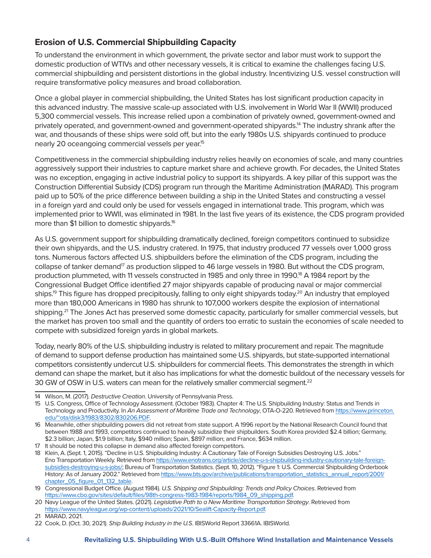### **Erosion of U.S. Commercial Shipbuilding Capacity**

To understand the environment in which government, the private sector and labor must work to support the domestic production of WTIVs and other necessary vessels, it is critical to examine the challenges facing U.S. commercial shipbuilding and persistent distortions in the global industry. Incentivizing U.S. vessel construction will require transformative policy measures and broad collaboration.

Once a global player in commercial shipbuilding, the United States has lost significant production capacity in this advanced industry. The massive scale-up associated with U.S. involvement in World War II (WWII) produced 5,300 commercial vessels. This increase relied upon a combination of privately owned, government-owned and privately operated, and government-owned and government-operated shipyards.14 The industry shrank after the war, and thousands of these ships were sold off, but into the early 1980s U.S. shipyards continued to produce nearly 20 oceangoing commercial vessels per year.15

Competitiveness in the commercial shipbuilding industry relies heavily on economies of scale, and many countries aggressively support their industries to capture market share and achieve growth. For decades, the United States was no exception, engaging in active industrial policy to support its shipyards. A key pillar of this support was the Construction Differential Subsidy (CDS) program run through the Maritime Administration (MARAD). This program paid up to 50% of the price difference between building a ship in the United States and constructing a vessel in a foreign yard and could only be used for vessels engaged in international trade. This program, which was implemented prior to WWII, was eliminated in 1981. In the last five years of its existence, the CDS program provided more than \$1 billion to domestic shipyards.16

As U.S. government support for shipbuilding dramatically declined, foreign competitors continued to subsidize their own shipyards, and the U.S. industry cratered. In 1975, that industry produced 77 vessels over 1,000 gross tons. Numerous factors affected U.S. shipbuilders before the elimination of the CDS program, including the collapse of tanker demand<sup>17</sup> as production slipped to 46 large vessels in 1980. But without the CDS program, production plummeted, with 11 vessels constructed in 1985 and only three in 1990.<sup>18</sup> A 1984 report by the Congressional Budget Office identified 27 major shipyards capable of producing naval or major commercial ships.<sup>19</sup> This figure has dropped precipitously, falling to only eight shipyards today.<sup>20</sup> An industry that employed more than 180,000 Americans in 1980 has shrunk to 107,000 workers despite the explosion of international shipping.<sup>21</sup> The Jones Act has preserved some domestic capacity, particularly for smaller commercial vessels, but the market has proven too small and the quantity of orders too erratic to sustain the economies of scale needed to compete with subsidized foreign yards in global markets.

Today, nearly 80% of the U.S. shipbuilding industry is related to military procurement and repair. The magnitude of demand to support defense production has maintained some U.S. shipyards, but state-supported international competitors consistently undercut U.S. shipbuilders for commercial fleets. This demonstrates the strength in which demand can shape the market, but it also has implications for what the domestic buildout of the necessary vessels for 30 GW of OSW in U.S. waters can mean for the relatively smaller commercial segment.<sup>22</sup>

<sup>14</sup> Wilson, M. (2017). *Destructive Creation*. University of Pennsylvania Press.

<sup>15</sup> U.S. Congress, Office of Technology Assessment. (October 1983). Chapter 4: The U.S. Shipbuilding Industry: Status and Trends in Technology and Productivity. In *An Assessment of Maritime Trade and Technology*, OTA-O-220. Retrieved from [https://www.princeton.](https://www.princeton.edu/~ota/disk3/1983/8302/830206.PDF) [edu/~ota/disk3/1983/8302/830206.PDF](https://www.princeton.edu/~ota/disk3/1983/8302/830206.PDF).

<sup>16</sup> Meanwhile, other shipbuilding powers did not retreat from state support. A 1996 report by the National Research Council found that between 1988 and 1993, competitors continued to heavily subsidize their shipbuilders. South Korea provided \$2.4 billion; Germany, \$2.3 billion; Japan, \$1.9 billion; Italy, \$940 million; Spain, \$897 million; and France, \$634 million.

<sup>17</sup> It should be noted this collapse in demand also affected foreign competitors.

<sup>18</sup> Klein, A. (Sept. 1, 2015). "Decline in U.S. Shipbuilding Industry: A Cautionary Tale of Foreign Subsidies Destroying U.S. Jobs." Eno Transportation Weekly. Retrieved from [https://www.enotrans.org/article/decline-u-s-shipbuilding-industry-cautionary-tale-foreign](https://www.enotrans.org/article/decline-u-s-shipbuilding-industry-cautionary-tale-foreign-subsidies-destroying-u-s-jobs/)[subsidies-destroying-u-s-jobs/;](https://www.enotrans.org/article/decline-u-s-shipbuilding-industry-cautionary-tale-foreign-subsidies-destroying-u-s-jobs/) Bureau of Transportation Statistics. (Sept. 10, 2012). "Figure 1: U.S. Commercial Shipbuilding Orderbook History: As of January 2002." Retrieved from [https://www.bts.gov/archive/publications/transportation\\_statistics\\_annual\\_report/2001/](https://www.bts.gov/archive/publications/transportation_statistics_annual_report/2001/chapter_05_figure_01_132_table) [chapter\\_05\\_figure\\_01\\_132\\_table.](https://www.bts.gov/archive/publications/transportation_statistics_annual_report/2001/chapter_05_figure_01_132_table)

<sup>19</sup> Congressional Budget Office. (August 1984). *U.S. Shipping and Shipbuilding: Trends and Policy Choices*. Retrieved from [https://www.cbo.gov/sites/default/files/98th-congress-1983-1984/reports/1984\\_09\\_shipping.pdf](https://www.cbo.gov/sites/default/files/98th-congress-1983-1984/reports/1984_09_shipping.pdf).

<sup>20</sup> Navy League of the United States. (2021). *Legislative Path to a New Maritime Transportation Strategy*. Retrieved from <https://www.navyleague.org/wp-content/uploads/2021/10/Sealift-Capacity-Report.pdf>.

<sup>21</sup> MARAD, 2021.

<sup>22</sup> Cook, D. (Oct. 30, 2021). *Ship Building Industry in the U.S*. IBISWorld Report 33661A. IBISWorld.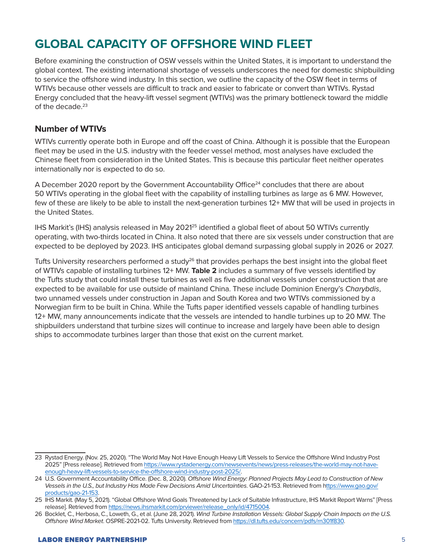### **GLOBAL CAPACITY OF OFFSHORE WIND FLEET**

Before examining the construction of OSW vessels within the United States, it is important to understand the global context. The existing international shortage of vessels underscores the need for domestic shipbuilding to service the offshore wind industry. In this section, we outline the capacity of the OSW fleet in terms of WTIVs because other vessels are difficult to track and easier to fabricate or convert than WTIVs. Rystad Energy concluded that the heavy-lift vessel segment (WTIVs) was the primary bottleneck toward the middle of the decade.23

#### **Number of WTIVs**

WTIVs currently operate both in Europe and off the coast of China. Although it is possible that the European fleet may be used in the U.S. industry with the feeder vessel method, most analyses have excluded the Chinese fleet from consideration in the United States. This is because this particular fleet neither operates internationally nor is expected to do so.

A December 2020 report by the Government Accountability Office<sup>24</sup> concludes that there are about 50 WTIVs operating in the global fleet with the capability of installing turbines as large as 6 MW. However, few of these are likely to be able to install the next-generation turbines 12+ MW that will be used in projects in the United States.

IHS Markit's (IHS) analysis released in May 2021<sup>25</sup> identified a global fleet of about 50 WTIVs currently operating, with two-thirds located in China. It also noted that there are six vessels under construction that are expected to be deployed by 2023. IHS anticipates global demand surpassing global supply in 2026 or 2027.

Tufts University researchers performed a study<sup>26</sup> that provides perhaps the best insight into the global fleet of WTIVs capable of installing turbines 12+ MW. **Table 2** includes a summary of five vessels identified by the Tufts study that could install these turbines as well as five additional vessels under construction that are expected to be available for use outside of mainland China. These include Dominion Energy's *Charybdis*, two unnamed vessels under construction in Japan and South Korea and two WTIVs commissioned by a Norwegian firm to be built in China. While the Tufts paper identified vessels capable of handling turbines 12+ MW, many announcements indicate that the vessels are intended to handle turbines up to 20 MW. The shipbuilders understand that turbine sizes will continue to increase and largely have been able to design ships to accommodate turbines larger than those that exist on the current market.

<sup>23</sup> Rystad Energy. (Nov. 25, 2020). "The World May Not Have Enough Heavy Lift Vessels to Service the Offshore Wind Industry Post 2025" [Press release]. Retrieved from [https://www.rystadenergy.com/newsevents/news/press-releases/the-world-may-not-have](https://www.rystadenergy.com/newsevents/news/press-releases/the-world-may-not-have-enough-heavy-lift-vessels-to-service-the-offshore-wind-industry-post-2025/)[enough-heavy-lift-vessels-to-service-the-offshore-wind-industry-post-2025/.](https://www.rystadenergy.com/newsevents/news/press-releases/the-world-may-not-have-enough-heavy-lift-vessels-to-service-the-offshore-wind-industry-post-2025/)

<sup>24</sup> U.S. Government Accountability Office. (Dec. 8, 2020). *Offshore Wind Energy: Planned Projects May Lead to Construction of New Vessels in the U.S., but Industry Has Made Few Decisions Amid Uncertainties*. GAO-21-153. Retrieved from [https://www.gao.gov/](https://www.gao.gov/products/gao-21-153) [products/gao-21-153](https://www.gao.gov/products/gao-21-153).

<sup>25</sup> IHS Markit. (May 5, 2021). "Global Offshore Wind Goals Threatened by Lack of Suitable Infrastructure, IHS Markit Report Warns" [Press release]. Retrieved from [https://news.ihsmarkit.com/prviewer/release\\_only/id/4715004](https://news.ihsmarkit.com/prviewer/release_only/id/4715004).

<sup>26</sup> Bocklet, C., Herbosa, C., Loweth, G., et al. (June 28, 2021). *Wind Turbine Installation Vessels: Global Supply Chain Impacts on the U.S. Offshore Wind Market*. OSPRE-2021-02. Tufts University. Retrieved from [https://dl.tufts.edu/concern/pdfs/rn301f830.](https://dl.tufts.edu/concern/pdfs/rn301f830)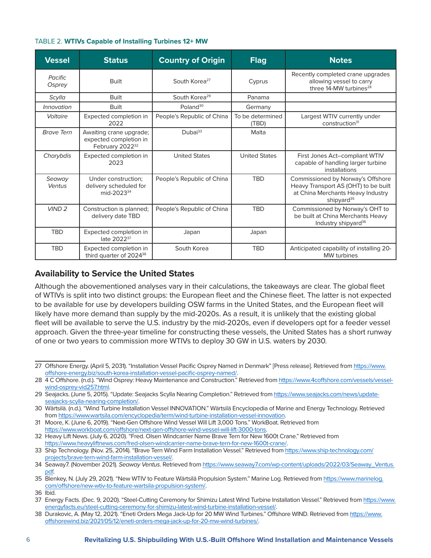| <b>Vessel</b>     | <b>Status</b>                                                                    | <b>Country of Origin</b>   | <b>Flag</b>               | <b>Notes</b>                                                                                                                             |
|-------------------|----------------------------------------------------------------------------------|----------------------------|---------------------------|------------------------------------------------------------------------------------------------------------------------------------------|
| Pacific<br>Osprey | <b>Built</b>                                                                     | South Korea <sup>27</sup>  | Cyprus                    | Recently completed crane upgrades<br>allowing vessel to carry<br>three 14-MW turbines <sup>28</sup>                                      |
| Scylla            | <b>Built</b>                                                                     | South Korea <sup>29</sup>  | Panama                    |                                                                                                                                          |
| <i>Innovation</i> | <b>Built</b>                                                                     | Poland <sup>30</sup>       | Germany                   |                                                                                                                                          |
| Voltaire          | Expected completion in<br>2022                                                   | People's Republic of China | To be determined<br>(TBD) | Largest WTIV currently under<br>construction <sup>31</sup>                                                                               |
| <b>Brave Tern</b> | Awaiting crane upgrade;<br>expected completion in<br>February 2022 <sup>32</sup> | Dubai <sup>33</sup>        | Malta                     |                                                                                                                                          |
| Charybdis         | Expected completion in<br>2023                                                   | <b>United States</b>       | <b>United States</b>      | First Jones Act-compliant WTIV<br>capable of handling larger turbine<br>installations                                                    |
| Seaway<br>Ventus  | Under construction;<br>delivery scheduled for<br>mid-2023 <sup>34</sup>          | People's Republic of China | <b>TBD</b>                | Commissioned by Norway's Offshore<br>Heavy Transport AS (OHT) to be built<br>at China Merchants Heavy Industry<br>shipyard <sup>35</sup> |
| VIND <sub>2</sub> | Construction is planned;<br>delivery date TBD                                    | People's Republic of China | <b>TBD</b>                | Commissioned by Norway's OHT to<br>be built at China Merchants Heavy<br>Industry shipyard <sup>36</sup>                                  |
| <b>TBD</b>        | Expected completion in<br>late 2022 <sup>37</sup>                                | Japan                      | Japan                     |                                                                                                                                          |
| <b>TBD</b>        | Expected completion in<br>third quarter of 2024 <sup>38</sup>                    | South Korea                | <b>TBD</b>                | Anticipated capability of installing 20-<br><b>MW</b> turbines                                                                           |

#### TABLE 2. **WTIVs Capable of Installing Turbines 12+ MW**

#### **Availability to Service the United States**

Although the abovementioned analyses vary in their calculations, the takeaways are clear. The global fleet of WTIVs is split into two distinct groups: the European fleet and the Chinese fleet. The latter is not expected to be available for use by developers building OSW farms in the United States, and the European fleet will likely have more demand than supply by the mid-2020s. As a result, it is unlikely that the existing global fleet will be available to serve the U.S. industry by the mid-2020s, even if developers opt for a feeder vessel approach. Given the three-year timeline for constructing these vessels, the United States has a short runway of one or two years to commission more WTIVs to deploy 30 GW in U.S. waters by 2030.

<sup>27</sup> Offshore Energy. (April 5, 2031). "Installation Vessel Pacific Osprey Named in Denmark" [Press release]. Retrieved from [https://www.](https://www.offshore-energy.biz/south-korea-installation-vessel-pacific-osprey-named/) [offshore-energy.biz/south-korea-installation-vessel-pacific-osprey-named/](https://www.offshore-energy.biz/south-korea-installation-vessel-pacific-osprey-named/).

<sup>28 4</sup> C Offshore. (n.d.). "Wind Osprey: Heavy Maintenance and Construction." Retrieved from [https://www.4coffshore.com/vessels/vessel](https://www.4coffshore.com/vessels/vessel-wind-osprey-vid257.html)[wind-osprey-vid257.html.](https://www.4coffshore.com/vessels/vessel-wind-osprey-vid257.html)

<sup>29</sup> Seajacks. (June 5, 2015). "Update: Seajacks Scylla Nearing Completion." Retrieved from [https://www.seajacks.com/news/update](https://www.seajacks.com/news/update-seajacks-scylla-nearing-completion/)[seajacks-scylla-nearing-completion/](https://www.seajacks.com/news/update-seajacks-scylla-nearing-completion/).

<sup>30</sup> Wärtsilä. (n.d.). "Wind Turbine Installation Vessel INNOVATION." Wärtsilä Encyclopedia of Marine and Energy Technology. Retrieved from [https://www.wartsila.com/encyclopedia/term/wind-turbine-installation-vessel-innovation.](https://www.wartsila.com/encyclopedia/term/wind-turbine-installation-vessel-innovation)

<sup>31</sup> Moore, K. (June 6, 2019). "Next-Gen Offshore Wind Vessel Will Lift 3,000 Tons." WorkBoat. Retrieved from [https://www.workboat.com/offshore/next-gen-offshore-wind-vessel-will-lift-3000-tons.](https://www.workboat.com/offshore/next-gen-offshore-wind-vessel-will-lift-3000-tons)

<sup>32</sup> Heavy Lift News. (July 6, 2020). "Fred. Olsen Windcarrier Name Brave Tern for New 1600t Crane." Retrieved from <https://www.heavyliftnews.com/fred-olsen-windcarrier-name-brave-tern-for-new-1600t-crane/>.

<sup>33</sup> Ship Technology. (Nov. 25, 2014). "Brave Tern Wind Farm Installation Vessel." Retrieved from [https://www.ship-technology.com/](https://www.ship-technology.com/projects/brave-tern-wind-farm-installation-vessel/) [projects/brave-tern-wind-farm-installation-vessel/.](https://www.ship-technology.com/projects/brave-tern-wind-farm-installation-vessel/)

<sup>34</sup> Seaway7. (November 2021). *Seaway Ventus*. Retrieved from [https://www.seaway7.com/wp-content/uploads/2022/03/Seaway\\_Ventus.](https://www.seaway7.com/wp-content/uploads/2022/03/Seaway_Ventus.pdf) [pdf.](https://www.seaway7.com/wp-content/uploads/2022/03/Seaway_Ventus.pdf)

<sup>35</sup> Blenkey, N. (July 29, 2021). "New WTIV to Feature Wärtsilä Propulsion System." Marine Log. Retrieved from [https://www.marinelog.](https://www.marinelog.com/offshore/new-wtiv-to-feature-wartsila-propulsion-system/) [com/offshore/new-wtiv-to-feature-wartsila-propulsion-system/.](https://www.marinelog.com/offshore/new-wtiv-to-feature-wartsila-propulsion-system/)

<sup>36</sup> Ibid.

<sup>37</sup> Energy Facts. (Dec. 9, 2020). "Steel-Cutting Ceremony for Shimizu Latest Wind Turbine Installation Vessel." Retrieved from [https://www.](https://www.energyfacts.eu/steel-cutting-ceremony-for-shimizu-latest-wind-turbine-installation-vessel/) [energyfacts.eu/steel-cutting-ceremony-for-shimizu-latest-wind-turbine-installation-vessel/](https://www.energyfacts.eu/steel-cutting-ceremony-for-shimizu-latest-wind-turbine-installation-vessel/).

<sup>38</sup> Durakovic, A. (May 12, 2021). "Eneti Orders Mega Jack-Up for 20 MW Wind Turbines." Offshore WIND. Retrieved from [https://www.](https://www.offshorewind.biz/2021/05/12/eneti-orders-mega-jack-up-for-20-mw-wind-turbines/) [offshorewind.biz/2021/05/12/eneti-orders-mega-jack-up-for-20-mw-wind-turbines/.](https://www.offshorewind.biz/2021/05/12/eneti-orders-mega-jack-up-for-20-mw-wind-turbines/)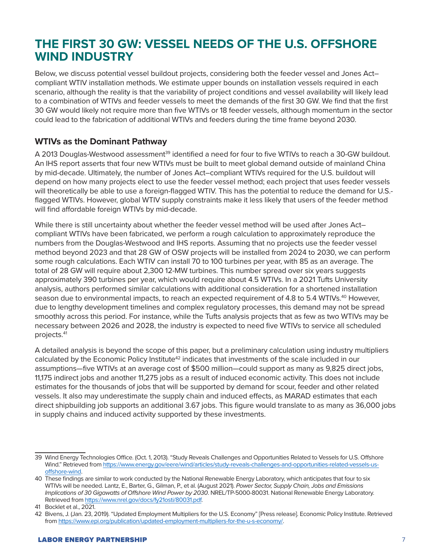### **THE FIRST 30 GW: VESSEL NEEDS OF THE U.S. OFFSHORE WIND INDUSTRY**

Below, we discuss potential vessel buildout projects, considering both the feeder vessel and Jones Act– compliant WTIV installation methods. We estimate upper bounds on installation vessels required in each scenario, although the reality is that the variability of project conditions and vessel availability will likely lead to a combination of WTIVs and feeder vessels to meet the demands of the first 30 GW. We find that the first 30 GW would likely not require more than five WTIVs or 18 feeder vessels, although momentum in the sector could lead to the fabrication of additional WTIVs and feeders during the time frame beyond 2030.

#### **WTIVs as the Dominant Pathway**

A 2013 Douglas-Westwood assessment<sup>39</sup> identified a need for four to five WTIVs to reach a 30-GW buildout. An IHS report asserts that four new WTIVs must be built to meet global demand outside of mainland China by mid-decade. Ultimately, the number of Jones Act–compliant WTIVs required for the U.S. buildout will depend on how many projects elect to use the feeder vessel method; each project that uses feeder vessels will theoretically be able to use a foreign-flagged WTIV. This has the potential to reduce the demand for U.S. flagged WTIVs. However, global WTIV supply constraints make it less likely that users of the feeder method will find affordable foreign WTIVs by mid-decade.

While there is still uncertainty about whether the feeder vessel method will be used after Jones Actcompliant WTIVs have been fabricated, we perform a rough calculation to approximately reproduce the numbers from the Douglas-Westwood and IHS reports. Assuming that no projects use the feeder vessel method beyond 2023 and that 28 GW of OSW projects will be installed from 2024 to 2030, we can perform some rough calculations. Each WTIV can install 70 to 100 turbines per year, with 85 as an average. The total of 28 GW will require about 2,300 12-MW turbines. This number spread over six years suggests approximately 390 turbines per year, which would require about 4.5 WTIVs. In a 2021 Tufts University analysis, authors performed similar calculations with additional consideration for a shortened installation season due to environmental impacts, to reach an expected requirement of 4.8 to 5.4 WTIVs.<sup>40</sup> However, due to lengthy development timelines and complex regulatory processes, this demand may not be spread smoothly across this period. For instance, while the Tufts analysis projects that as few as two WTIVs may be necessary between 2026 and 2028, the industry is expected to need five WTIVs to service all scheduled projects.41

A detailed analysis is beyond the scope of this paper, but a preliminary calculation using industry multipliers calculated by the Economic Policy Institute<sup>42</sup> indicates that investments of the scale included in our assumptions—five WTIVs at an average cost of \$500 million—could support as many as 9,825 direct jobs, 11,175 indirect jobs and another 11,275 jobs as a result of induced economic activity. This does not include estimates for the thousands of jobs that will be supported by demand for scour, feeder and other related vessels. It also may underestimate the supply chain and induced effects, as MARAD estimates that each direct shipbuilding job supports an additional 3.67 jobs. This figure would translate to as many as 36,000 jobs in supply chains and induced activity supported by these investments.

<sup>39</sup> Wind Energy Technologies Office. (Oct. 1, 2013). "Study Reveals Challenges and Opportunities Related to Vessels for U.S. Offshore Wind." Retrieved from [https://www.energy.gov/eere/wind/articles/study-reveals-challenges-and-opportunities-related-vessels-us](https://www.energy.gov/eere/wind/articles/study-reveals-challenges-and-opportunities-related-vessels-us-offshore-wind)[offshore-wind](https://www.energy.gov/eere/wind/articles/study-reveals-challenges-and-opportunities-related-vessels-us-offshore-wind).

<sup>40</sup> These findings are similar to work conducted by the National Renewable Energy Laboratory, which anticipates that four to six WTIVs will be needed. Lantz, E., Barter, G., Gilman, P., et al. (August 2021). *Power Sector, Supply Chain, Jobs and Emissions Implications of 30 Gigawatts of Offshore Wind Power by 2030*. NREL/TP-5000-80031. National Renewable Energy Laboratory. Retrieved from <https://www.nrel.gov/docs/fy21osti/80031.pdf>.

<sup>41</sup> Bocklet et al., 2021.

<sup>42</sup> Bivens, J. (Jan. 23, 2019). "Updated Employment Multipliers for the U.S. Economy" [Press release]. Economic Policy Institute. Retrieved from [https://www.epi.org/publication/updated-employment-multipliers-for-the-u-s-economy/.](https://www.epi.org/publication/updated-employment-multipliers-for-the-u-s-economy/)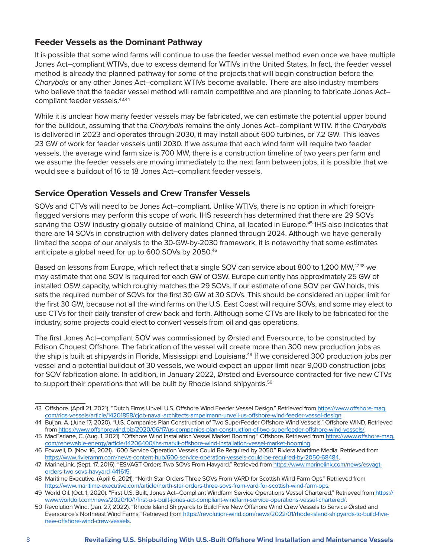#### **Feeder Vessels as the Dominant Pathway**

It is possible that some wind farms will continue to use the feeder vessel method even once we have multiple Jones Act–compliant WTIVs, due to excess demand for WTIVs in the United States. In fact, the feeder vessel method is already the planned pathway for some of the projects that will begin construction before the *Charybdis* or any other Jones Act–compliant WTIVs become available. There are also industry members who believe that the feeder vessel method will remain competitive and are planning to fabricate Jones Actcompliant feeder vessels.43,44

While it is unclear how many feeder vessels may be fabricated, we can estimate the potential upper bound for the buildout, assuming that the *Charybdis* remains the only Jones Act–compliant WTIV. If the *Charybdis* is delivered in 2023 and operates through 2030, it may install about 600 turbines, or 7.2 GW. This leaves 23 GW of work for feeder vessels until 2030. If we assume that each wind farm will require two feeder vessels, the average wind farm size is 700 MW, there is a construction timeline of two years per farm and we assume the feeder vessels are moving immediately to the next farm between jobs, it is possible that we would see a buildout of 16 to 18 Jones Act–compliant feeder vessels.

#### **Service Operation Vessels and Crew Transfer Vessels**

SOVs and CTVs will need to be Jones Act–compliant. Unlike WTIVs, there is no option in which foreignflagged versions may perform this scope of work. IHS research has determined that there are 29 SOVs serving the OSW industry globally outside of mainland China, all located in Europe.<sup>45</sup> IHS also indicates that there are 14 SOVs in construction with delivery dates planned through 2024. Although we have generally limited the scope of our analysis to the 30-GW-by-2030 framework, it is noteworthy that some estimates anticipate a global need for up to 600 SOVs by 2050.46

Based on lessons from Europe, which reflect that a single SOV can service about 800 to 1,200 MW,<sup>47,48</sup> we may estimate that one SOV is required for each GW of OSW. Europe currently has approximately 25 GW of installed OSW capacity, which roughly matches the 29 SOVs. If our estimate of one SOV per GW holds, this sets the required number of SOVs for the first 30 GW at 30 SOVs. This should be considered an upper limit for the first 30 GW, because not all the wind farms on the U.S. East Coast will require SOVs, and some may elect to use CTVs for their daily transfer of crew back and forth. Although some CTVs are likely to be fabricated for the industry, some projects could elect to convert vessels from oil and gas operations.

The first Jones Act–compliant SOV was commissioned by Ørsted and Eversource, to be constructed by Edison Chouest Offshore. The fabrication of the vessel will create more than 300 new production jobs as the ship is built at shipyards in Florida, Mississippi and Louisiana.<sup>49</sup> If we considered 300 production jobs per vessel and a potential buildout of 30 vessels, we would expect an upper limit near 9,000 construction jobs for SOV fabrication alone. In addition, in January 2022, Ørsted and Eversource contracted for five new CTVs to support their operations that will be built by Rhode Island shipyards.<sup>50</sup>

<sup>43</sup> Offshore. (April 21, 2021). "Dutch Firms Unveil U.S. Offshore Wind Feeder Vessel Design." Retrieved from [https://www.offshore-mag.](https://www.offshore-mag.com/rigs-vessels/article/14201858/cjob-naval-architects-ampelmann-unveil-us-offshore-wind-feeder-vessel-design) [com/rigs-vessels/article/14201858/cjob-naval-architects-ampelmann-unveil-us-offshore-wind-feeder-vessel-design](https://www.offshore-mag.com/rigs-vessels/article/14201858/cjob-naval-architects-ampelmann-unveil-us-offshore-wind-feeder-vessel-design).

<sup>44</sup> Buljan, A. (June 17, 2020). "U.S. Companies Plan Construction of Two SuperFeeder Offshore Wind Vessels." Offshore WIND. Retrieved from [https://www.offshorewind.biz/2020/06/17/us-companies-plan-construction-of-two-superfeeder-offshore-wind-vessels/.](https://www.offshorewind.biz/2020/06/17/us-companies-plan-construction-of-two-superfeeder-offshore-wind-vessels/)

<sup>45</sup> MacFarlane, C. (Aug. 1, 2021). "Offshore Wind Installation Vessel Market Booming." Offshore. Retrieved from [https://www.offshore-mag.](https://www.offshore-mag.com/renewable-energy/article/14206400/ihs-markit-offshore-wind-installation-vessel-market-booming) [com/renewable-energy/article/14206400/ihs-markit-offshore-wind-installation-vessel-market-booming.](https://www.offshore-mag.com/renewable-energy/article/14206400/ihs-markit-offshore-wind-installation-vessel-market-booming)

<sup>46</sup> Foxwell, D. (Nov. 16, 2021). "600 Service Operation Vessels Could Be Required by 2050." Riviera Maritime Media. Retrieved from <https://www.rivieramm.com/news-content-hub/600-service-operation-vessels-could-be-required-by-2050-68484>.

<sup>47</sup> MarineLink. (Sept. 17, 2016). "ESVAGT Orders Two SOVs From Havyard." Retrieved from [https://www.marinelink.com/news/esvagt](https://www.marinelink.com/news/esvagt-orders-two-sovs-havyard-441615)[orders-two-sovs-havyard-441615.](https://www.marinelink.com/news/esvagt-orders-two-sovs-havyard-441615)

<sup>48</sup> Maritime Executive. (April 6, 2021). "North Star Orders Three SOVs From VARD for Scottish Wind Farm Ops." Retrieved from <https://www.maritime-executive.com/article/north-star-orders-three-sovs-from-vard-for-scottish-wind-farm-ops>.

<sup>49</sup> World Oil. (Oct. 1, 2020). "First U.S. Built, Jones Act–Compliant Windfarm Service Operations Vessel Chartered." Retrieved from [https://](https://www.worldoil.com/news/2020/10/1/first-u-s-built-jones-act-compliant-windfarm-service-operations-vessel-chartered/) [www.worldoil.com/news/2020/10/1/first-u-s-built-jones-act-compliant-windfarm-service-operations-vessel-chartered/](https://www.worldoil.com/news/2020/10/1/first-u-s-built-jones-act-compliant-windfarm-service-operations-vessel-chartered/).

<sup>50</sup> Revolution Wind. (Jan. 27, 2022). "Rhode Island Shipyards to Build Five New Offshore Wind Crew Vessels to Service Ørsted and Eversource's Northeast Wind Farms." Retrieved from [https://revolution-wind.com/news/2022/01/rhode-island-shipyards-to-build-five](https://revolution-wind.com/news/2022/01/rhode-island-shipyards-to-build-five-new-offshore-wind-crew-vessels)[new-offshore-wind-crew-vessels](https://revolution-wind.com/news/2022/01/rhode-island-shipyards-to-build-five-new-offshore-wind-crew-vessels).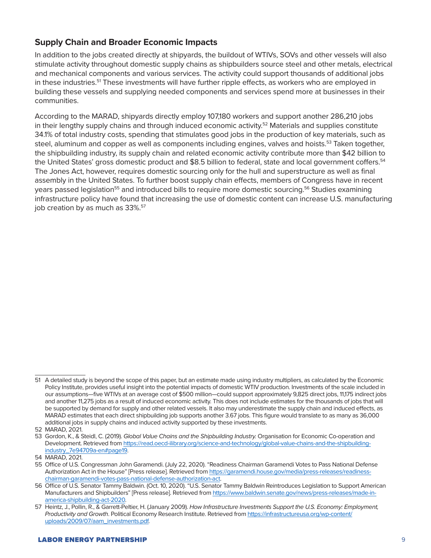#### **Supply Chain and Broader Economic Impacts**

In addition to the jobs created directly at shipyards, the buildout of WTIVs, SOVs and other vessels will also stimulate activity throughout domestic supply chains as shipbuilders source steel and other metals, electrical and mechanical components and various services. The activity could support thousands of additional jobs in these industries.<sup>51</sup> These investments will have further ripple effects, as workers who are employed in building these vessels and supplying needed components and services spend more at businesses in their communities.

According to the MARAD, shipyards directly employ 107,180 workers and support another 286,210 jobs in their lengthy supply chains and through induced economic activity.<sup>52</sup> Materials and supplies constitute 34.1% of total industry costs, spending that stimulates good jobs in the production of key materials, such as steel, aluminum and copper as well as components including engines, valves and hoists.<sup>53</sup> Taken together, the shipbuilding industry, its supply chain and related economic activity contribute more than \$42 billion to the United States' gross domestic product and \$8.5 billion to federal, state and local government coffers.<sup>54</sup> The Jones Act, however, requires domestic sourcing only for the hull and superstructure as well as final assembly in the United States. To further boost supply chain effects, members of Congress have in recent years passed legislation<sup>55</sup> and introduced bills to require more domestic sourcing.<sup>56</sup> Studies examining infrastructure policy have found that increasing the use of domestic content can increase U.S. manufacturing job creation by as much as 33%.<sup>57</sup>

<sup>51</sup> A detailed study is beyond the scope of this paper, but an estimate made using industry multipliers, as calculated by the Economic Policy Institute, provides useful insight into the potential impacts of domestic WTIV production. Investments of the scale included in our assumptions—five WTIVs at an average cost of \$500 million—could support approximately 9,825 direct jobs, 11,175 indirect jobs and another 11,275 jobs as a result of induced economic activity. This does not include estimates for the thousands of jobs that will be supported by demand for supply and other related vessels. It also may underestimate the supply chain and induced effects, as MARAD estimates that each direct shipbuilding job supports another 3.67 jobs. This figure would translate to as many as 36,000 additional jobs in supply chains and induced activity supported by these investments.

<sup>52</sup> MARAD, 2021.

<sup>53</sup> Gordon, K., & Steidl, C. (2019). *Global Value Chains and the Shipbuilding Industry.* Organisation for Economic Co-operation and Development. Retrieved from [https://read.oecd-ilibrary.org/science-and-technology/global-value-chains-and-the-shipbuilding](https://read.oecd-ilibrary.org/science-and-technology/global-value-chains-and-the-shipbuilding-industry_7e94709a-en#page19)[industry\\_7e94709a-en#page19.](https://read.oecd-ilibrary.org/science-and-technology/global-value-chains-and-the-shipbuilding-industry_7e94709a-en#page19)

<sup>54</sup> MARAD, 2021.

<sup>55</sup> Office of U.S. Congressman John Garamendi. (July 22, 2020). "Readiness Chairman Garamendi Votes to Pass National Defense Authorization Act in the House" [Press release]. Retrieved from [https://garamendi.house.gov/media/press-releases/readiness](https://garamendi.house.gov/media/press-releases/readiness-chairman-garamendi-votes-pass-national-defense-authorization-act)[chairman-garamendi-votes-pass-national-defense-authorization-act.](https://garamendi.house.gov/media/press-releases/readiness-chairman-garamendi-votes-pass-national-defense-authorization-act)

<sup>56</sup> Office of U.S. Senator Tammy Baldwin. (Oct. 10, 2020). "U.S. Senator Tammy Baldwin Reintroduces Legislation to Support American Manufacturers and Shipbuilders" [Press release]. Retrieved from [https://www.baldwin.senate.gov/news/press-releases/made-in](https://www.baldwin.senate.gov/news/press-releases/made-in-america-shipbuilding-act-2020)[america-shipbuilding-act-2020.](https://www.baldwin.senate.gov/news/press-releases/made-in-america-shipbuilding-act-2020)

<sup>57</sup> Heintz, J., Pollin, R., & Garrett-Peltier, H. (January 2009). *How Infrastructure Investments Support the U.S. Economy: Employment, Productivity and Growth*. Political Economy Research Institute. Retrieved from [https://infrastructureusa.org/wp-content/](https://infrastructureusa.org/wp-content/uploads/2009/07/aam_investments.pdf) [uploads/2009/07/aam\\_investments.pdf](https://infrastructureusa.org/wp-content/uploads/2009/07/aam_investments.pdf).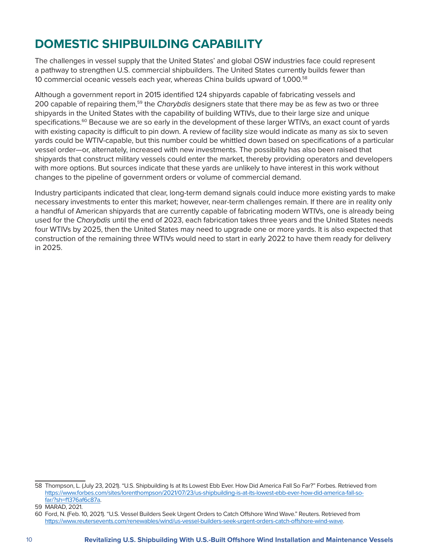### **DOMESTIC SHIPBUILDING CAPABILITY**

The challenges in vessel supply that the United States' and global OSW industries face could represent a pathway to strengthen U.S. commercial shipbuilders. The United States currently builds fewer than 10 commercial oceanic vessels each year, whereas China builds upward of 1,000.58

Although a government report in 2015 identified 124 shipyards capable of fabricating vessels and 200 capable of repairing them,59 the *Charybdis* designers state that there may be as few as two or three shipyards in the United States with the capability of building WTIVs, due to their large size and unique specifications.<sup>60</sup> Because we are so early in the development of these larger WTIVs, an exact count of yards with existing capacity is difficult to pin down. A review of facility size would indicate as many as six to seven yards could be WTIV-capable, but this number could be whittled down based on specifications of a particular vessel order—or, alternately, increased with new investments. The possibility has also been raised that shipyards that construct military vessels could enter the market, thereby providing operators and developers with more options. But sources indicate that these yards are unlikely to have interest in this work without changes to the pipeline of government orders or volume of commercial demand.

Industry participants indicated that clear, long-term demand signals could induce more existing yards to make necessary investments to enter this market; however, near-term challenges remain. If there are in reality only a handful of American shipyards that are currently capable of fabricating modern WTIVs, one is already being used for the *Charybdis* until the end of 2023, each fabrication takes three years and the United States needs four WTIVs by 2025, then the United States may need to upgrade one or more yards. It is also expected that construction of the remaining three WTIVs would need to start in early 2022 to have them ready for delivery in 2025.

<sup>58</sup> Thompson, L. (July 23, 2021). "U.S. Shipbuilding Is at Its Lowest Ebb Ever. How Did America Fall So Far?" Forbes. Retrieved from [https://www.forbes.com/sites/lorenthompson/2021/07/23/us-shipbuilding-is-at-its-lowest-ebb-ever-how-did-america-fall-so](https://www.forbes.com/sites/lorenthompson/2021/07/23/us-shipbuilding-is-at-its-lowest-ebb-ever-how-did-america-fall-so-far/?sh=f1376af6c87a)[far/?sh=f1376af6c87a](https://www.forbes.com/sites/lorenthompson/2021/07/23/us-shipbuilding-is-at-its-lowest-ebb-ever-how-did-america-fall-so-far/?sh=f1376af6c87a).

<sup>59</sup> MARAD, 2021.

<sup>60</sup> Ford, N. (Feb. 10, 2021). "U.S. Vessel Builders Seek Urgent Orders to Catch Offshore Wind Wave." Reuters. Retrieved from <https://www.reutersevents.com/renewables/wind/us-vessel-builders-seek-urgent-orders-catch-offshore-wind-wave>.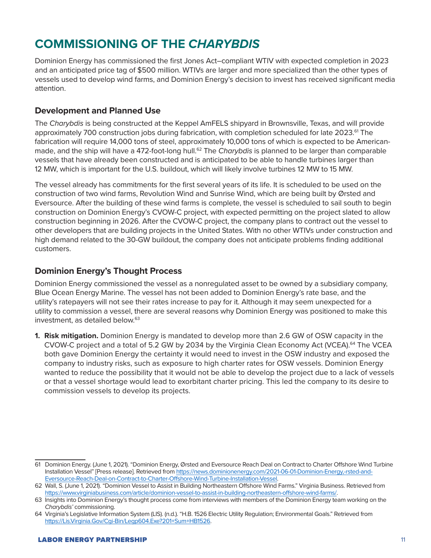# **COMMISSIONING OF THE** *CHARYBDIS*

Dominion Energy has commissioned the first Jones Act–compliant WTIV with expected completion in 2023 and an anticipated price tag of \$500 million. WTIVs are larger and more specialized than the other types of vessels used to develop wind farms, and Dominion Energy's decision to invest has received significant media attention.

#### **Development and Planned Use**

The *Charybdis* is being constructed at the Keppel AmFELS shipyard in Brownsville, Texas, and will provide approximately 700 construction jobs during fabrication, with completion scheduled for late 2023.<sup>61</sup> The fabrication will require 14,000 tons of steel, approximately 10,000 tons of which is expected to be Americanmade, and the ship will have a 472-foot-long hull.<sup>62</sup> The *Charybdis* is planned to be larger than comparable vessels that have already been constructed and is anticipated to be able to handle turbines larger than 12 MW, which is important for the U.S. buildout, which will likely involve turbines 12 MW to 15 MW.

The vessel already has commitments for the first several years of its life. It is scheduled to be used on the construction of two wind farms, Revolution Wind and Sunrise Wind, which are being built by Ørsted and Eversource. After the building of these wind farms is complete, the vessel is scheduled to sail south to begin construction on Dominion Energy's CVOW-C project, with expected permitting on the project slated to allow construction beginning in 2026. After the CVOW-C project, the company plans to contract out the vessel to other developers that are building projects in the United States. With no other WTIVs under construction and high demand related to the 30-GW buildout, the company does not anticipate problems finding additional customers.

#### **Dominion Energy's Thought Process**

Dominion Energy commissioned the vessel as a nonregulated asset to be owned by a subsidiary company, Blue Ocean Energy Marine. The vessel has not been added to Dominion Energy's rate base, and the utility's ratepayers will not see their rates increase to pay for it. Although it may seem unexpected for a utility to commission a vessel, there are several reasons why Dominion Energy was positioned to make this investment, as detailed below.<sup>63</sup>

**1. Risk mitigation.** Dominion Energy is mandated to develop more than 2.6 GW of OSW capacity in the CVOW-C project and a total of 5.2 GW by 2034 by the Virginia Clean Economy Act (VCEA).<sup>64</sup> The VCEA both gave Dominion Energy the certainty it would need to invest in the OSW industry and exposed the company to industry risks, such as exposure to high charter rates for OSW vessels. Dominion Energy wanted to reduce the possibility that it would not be able to develop the project due to a lack of vessels or that a vessel shortage would lead to exorbitant charter pricing. This led the company to its desire to commission vessels to develop its projects.

<sup>61</sup> Dominion Energy. (June 1, 2021). "Dominion Energy, Ørsted and Eversource Reach Deal on Contract to Charter Offshore Wind Turbine Installation Vessel" [Press release]. Retrieved from [https://news.dominionenergy.com/2021-06-01-Dominion-Energy,-rsted-and-](https://news.dominionenergy.com/2021-06-01-Dominion-Energy,-rsted-and-Eversource-Reach-Deal-on-Contract-to-Charter-Offshore-Wind-Turbine-Installation-Vessel)[Eversource-Reach-Deal-on-Contract-to-Charter-Offshore-Wind-Turbine-Installation-Vessel.](https://news.dominionenergy.com/2021-06-01-Dominion-Energy,-rsted-and-Eversource-Reach-Deal-on-Contract-to-Charter-Offshore-Wind-Turbine-Installation-Vessel)

<sup>62</sup> Wall, S. (June 1, 2021). "Dominion Vessel to Assist in Building Northeastern Offshore Wind Farms." Virginia Business. Retrieved from <https://www.virginiabusiness.com/article/dominion-vessel-to-assist-in-building-northeastern-offshore-wind-farms/>.

<sup>63</sup> Insights into Dominion Energy's thought process come from interviews with members of the Dominion Energy team working on the *Charybdis'* commissioning.

<sup>64</sup> Virginia's Legislative Information System (LIS). (n.d.). "H.B. 1526 Electric Utility Regulation; Environmental Goals." Retrieved from [https://Lis.Virginia.Gov/Cgi-Bin/Legp604.Exe?201+Sum+HB1526.](https://Lis.Virginia.Gov/Cgi-Bin/Legp604.Exe?201+Sum+HB1526)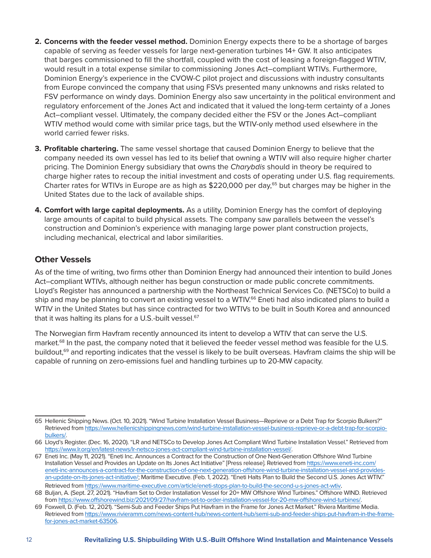- **2. Concerns with the feeder vessel method.** Dominion Energy expects there to be a shortage of barges capable of serving as feeder vessels for large next-generation turbines 14+ GW. It also anticipates that barges commissioned to fill the shortfall, coupled with the cost of leasing a foreign-flagged WTIV, would result in a total expense similar to commissioning Jones Act–compliant WTIVs. Furthermore, Dominion Energy's experience in the CVOW-C pilot project and discussions with industry consultants from Europe convinced the company that using FSVs presented many unknowns and risks related to FSV performance on windy days. Dominion Energy also saw uncertainty in the political environment and regulatory enforcement of the Jones Act and indicated that it valued the long-term certainty of a Jones Act–compliant vessel. Ultimately, the company decided either the FSV or the Jones Act–compliant WTIV method would come with similar price tags, but the WTIV-only method used elsewhere in the world carried fewer risks.
- **3. Profitable chartering.** The same vessel shortage that caused Dominion Energy to believe that the company needed its own vessel has led to its belief that owning a WTIV will also require higher charter pricing. The Dominion Energy subsidiary that owns the *Charybdis* should in theory be required to charge higher rates to recoup the initial investment and costs of operating under U.S. flag requirements. Charter rates for WTIVs in Europe are as high as \$220,000 per day,<sup>65</sup> but charges may be higher in the United States due to the lack of available ships.
- **4. Comfort with large capital deployments.** As a utility, Dominion Energy has the comfort of deploying large amounts of capital to build physical assets. The company saw parallels between the vessel's construction and Dominion's experience with managing large power plant construction projects, including mechanical, electrical and labor similarities.

#### **Other Vessels**

As of the time of writing, two firms other than Dominion Energy had announced their intention to build Jones Act–compliant WTIVs, although neither has begun construction or made public concrete commitments. Lloyd's Register has announced a partnership with the Northeast Technical Services Co. (NETSCo) to build a ship and may be planning to convert an existing vessel to a WTIV.<sup>66</sup> Eneti had also indicated plans to build a WTIV in the United States but has since contracted for two WTIVs to be built in South Korea and announced that it was halting its plans for a U.S.-built vessel.<sup>67</sup>

The Norwegian firm Havfram recently announced its intent to develop a WTIV that can serve the U.S. market.<sup>68</sup> In the past, the company noted that it believed the feeder vessel method was feasible for the U.S. buildout,<sup>69</sup> and reporting indicates that the vessel is likely to be built overseas. Havfram claims the ship will be capable of running on zero-emissions fuel and handling turbines up to 20-MW capacity.

<sup>65</sup> Hellenic Shipping News. (Oct. 10, 2021). "Wind Turbine Installation Vessel Business—Reprieve or a Debt Trap for Scorpio Bulkers?" Retrieved from [https://www.hellenicshippingnews.com/wind-turbine-installation-vessel-business-reprieve-or-a-debt-trap-for-scorpio](https://www.hellenicshippingnews.com/wind-turbine-installation-vessel-business-reprieve-or-a-debt-trap-for-scorpio-bulkers/)[bulkers/.](https://www.hellenicshippingnews.com/wind-turbine-installation-vessel-business-reprieve-or-a-debt-trap-for-scorpio-bulkers/)

<sup>66</sup> Lloyd's Register. (Dec. 16, 2020). "LR and NETSCo to Develop Jones Act Compliant Wind Turbine Installation Vessel." Retrieved from [https://www.lr.org/en/latest-news/lr-netsco-jones-act-compliant-wind-turbine-installation-vessel/.](https://www.lr.org/en/latest-news/lr-netsco-jones-act-compliant-wind-turbine-installation-vessel/)

<sup>67</sup> Eneti Inc. (May 11, 2021). "Eneti Inc. Announces a Contract for the Construction of One Next-Generation Offshore Wind Turbine Installation Vessel and Provides an Update on Its Jones Act Initiative" [Press release]. Retrieved from [https://www.eneti-inc.com/](https://www.eneti-inc.com/eneti-inc-announces-a-contract-for-the-construction-of-one-next-generation-offshore-wind-turbine-installation-vessel-and-provides-an-update-on-its-jones-act-initiative/;) [eneti-inc-announces-a-contract-for-the-construction-of-one-next-generation-offshore-wind-turbine-installation-vessel-and-provides](https://www.eneti-inc.com/eneti-inc-announces-a-contract-for-the-construction-of-one-next-generation-offshore-wind-turbine-installation-vessel-and-provides-an-update-on-its-jones-act-initiative/;)[an-update-on-its-jones-act-initiative/;](https://www.eneti-inc.com/eneti-inc-announces-a-contract-for-the-construction-of-one-next-generation-offshore-wind-turbine-installation-vessel-and-provides-an-update-on-its-jones-act-initiative/;) Maritime Executive. (Feb. 1, 2022). "Eneti Halts Plan to Build the Second U.S. Jones Act WTIV." Retrieved from <https://www.maritime-executive.com/article/eneti-stops-plan-to-build-the-second-u-s-jones-act-wtiv>.

<sup>68</sup> Buljan, A. (Sept. 27, 2021). "Havfram Set to Order Installation Vessel for 20+ MW Offshore Wind Turbines." Offshore WIND. Retrieved from<https://www.offshorewind.biz/2021/09/27/havfram-set-to-order-installation-vessel-for-20-mw-offshore-wind-turbines/>.

<sup>69</sup> Foxwell, D. (Feb. 12, 2021). "Semi-Sub and Feeder Ships Put Havfram in the Frame for Jones Act Market." Riviera Maritime Media. Retrieved from [https://www.rivieramm.com/news-content-hub/news-content-hub/semi-sub-and-feeder-ships-put-havfram-in-the-frame](https://www.rivieramm.com/news-content-hub/news-content-hub/semi-sub-and-feeder-ships-put-havfram-in-the-frame-for-jones-act-market-63506)[for-jones-act-market-63506](https://www.rivieramm.com/news-content-hub/news-content-hub/semi-sub-and-feeder-ships-put-havfram-in-the-frame-for-jones-act-market-63506).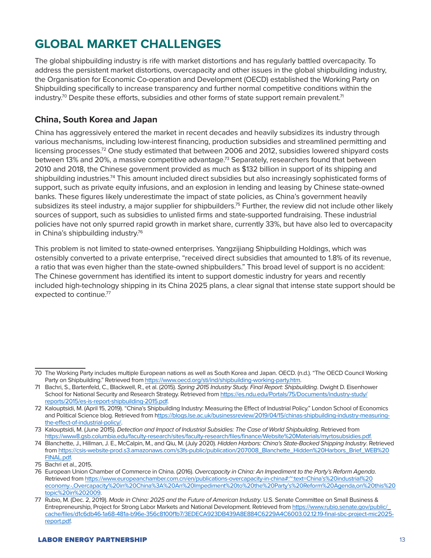# **GLOBAL MARKET CHALLENGES**

The global shipbuilding industry is rife with market distortions and has regularly battled overcapacity. To address the persistent market distortions, overcapacity and other issues in the global shipbuilding industry, the Organisation for Economic Co-operation and Development (OECD) established the Working Party on Shipbuilding specifically to increase transparency and further normal competitive conditions within the industry.<sup>70</sup> Despite these efforts, subsidies and other forms of state support remain prevalent.<sup>71</sup>

#### **China, South Korea and Japan**

China has aggressively entered the market in recent decades and heavily subsidizes its industry through various mechanisms, including low-interest financing, production subsidies and streamlined permitting and licensing processes.72 One study estimated that between 2006 and 2012, subsidies lowered shipyard costs between 13% and 20%, a massive competitive advantage.<sup>73</sup> Separately, researchers found that between 2010 and 2018, the Chinese government provided as much as \$132 billion in support of its shipping and shipbuilding industries.<sup>74</sup> This amount included direct subsidies but also increasingly sophisticated forms of support, such as private equity infusions, and an explosion in lending and leasing by Chinese state-owned banks. These figures likely underestimate the impact of state policies, as China's government heavily subsidizes its steel industry, a major supplier for shipbuilders.<sup>75</sup> Further, the review did not include other likely sources of support, such as subsidies to unlisted firms and state-supported fundraising. These industrial policies have not only spurred rapid growth in market share, currently 33%, but have also led to overcapacity in China's shipbuilding industry.<sup>76</sup>

This problem is not limited to state-owned enterprises. Yangzijiang Shipbuilding Holdings, which was ostensibly converted to a private enterprise, "received direct subsidies that amounted to 1.8% of its revenue, a ratio that was even higher than the state-owned shipbuilders." This broad level of support is no accident: The Chinese government has identified its intent to support domestic industry for years and recently included high-technology shipping in its China 2025 plans, a clear signal that intense state support should be expected to continue.<sup>77</sup>

<sup>70</sup> The Working Party includes multiple European nations as well as South Korea and Japan. OECD. (n.d.). "The OECD Council Working Party on Shipbuilding." Retrieved from [https://www.oecd.org/sti/ind/shipbuilding-working-party.htm.](https://www.oecd.org/sti/ind/shipbuilding-working-party.htm)

<sup>71</sup> Bachri, S., Bartenfeld, C., Blackwell, R., et al. (2015). *Spring 2015 Industry Study. Final Report: Shipbuilding*. Dwight D. Eisenhower School for National Security and Research Strategy. Retrieved from [https://es.ndu.edu/Portals/75/Documents/industry-study/](https://es.ndu.edu/Portals/75/Documents/industry-study/reports/2015/es-is-report-shipbuilding-2015.pdf) [reports/2015/es-is-report-shipbuilding-2015.pdf.](https://es.ndu.edu/Portals/75/Documents/industry-study/reports/2015/es-is-report-shipbuilding-2015.pdf)

<sup>72</sup> Kalouptsidi, M. (April 15, 2019). "China's Shipbuilding Industry: Measuring the Effect of Industrial Policy." London School of Economics and Political Science blog. Retrieved from [https://blogs.lse.ac.uk/businessreview/2019/04/15/chinas-shipbuilding-industry-measuring](about:blank)[the-effect-of-industrial-policy/](about:blank).

<sup>73</sup> Kalouptsidi, M. (June 2015). *Detection and Impact of Industrial Subsidies: The Case of World Shipbuilding*. Retrieved from [https://www8.gsb.columbia.edu/faculty-research/sites/faculty-research/files/finance/Website%20Materials/myrtosubsidies.pdf](https://www8.gsb.columbia.edu/faculty-research/sites/faculty-research/files/finance/Website Materials/myrtosubsidies.pdf).

<sup>74</sup> Blanchette, J., Hillman, J. E., McCalpin, M., and Qiu, M. (July 2020). *Hidden Harbors: China's State-Backed Shipping Industry*. Retrieved from [https://csis-website-prod.s3.amazonaws.com/s3fs-public/publication/207008\\_Blanchette\\_Hidden%20Harbors\\_Brief\\_WEB%20](https://csis-website-prod.s3.amazonaws.com/s3fs-public/publication/207008_Blanchette_Hidden Harbors_Brief_WEB FINAL.pdf) [FINAL.pdf](https://csis-website-prod.s3.amazonaws.com/s3fs-public/publication/207008_Blanchette_Hidden Harbors_Brief_WEB FINAL.pdf).

<sup>75</sup> Bachri et al., 2015.

<sup>76</sup> European Union Chamber of Commerce in China. (2016). *Overcapacity in China: An Impediment to the Party's Reform Agenda*. Retrieved from [https://www.europeanchamber.com.cn/en/publications-overcapacity-in-china#:~:text=China's%20industrial%20](https://www.europeanchamber.com.cn/en/publications-overcapacity-in-china#:~:text=China) [economy.-,Overcapacity%20in%20China%3A%20An%20Impediment%20to%20the%20Party's%20Reform%20Agenda,on%20this%20](https://www.europeanchamber.com.cn/en/publications-overcapacity-in-china#:~:text=China) [topic%20in%202009.](https://www.europeanchamber.com.cn/en/publications-overcapacity-in-china#:~:text=China)

<sup>77</sup> Rubio, M. (Dec. 2, 2019). *Made in China: 2025 and the Future of American Industry*. U.S. Senate Committee on Small Business & Entrepreneurship, Project for Strong Labor Markets and National Development. Retrieved from [https://www.rubio.senate.gov/public/\\_](https://www.rubio.senate.gov/public/_cache/files/d1c6db46-1a68-481a-b96e-356c8100f1b7/3EDECA923DB439A8E884C6229A4C6003.02.12.19-final-sbc-project-mic2025-report.pdf) [cache/files/d1c6db46-1a68-481a-b96e-356c8100f1b7/3EDECA923DB439A8E884C6229A4C6003.02.12.19-final-sbc-project-mic2025](https://www.rubio.senate.gov/public/_cache/files/d1c6db46-1a68-481a-b96e-356c8100f1b7/3EDECA923DB439A8E884C6229A4C6003.02.12.19-final-sbc-project-mic2025-report.pdf) [report.pdf](https://www.rubio.senate.gov/public/_cache/files/d1c6db46-1a68-481a-b96e-356c8100f1b7/3EDECA923DB439A8E884C6229A4C6003.02.12.19-final-sbc-project-mic2025-report.pdf).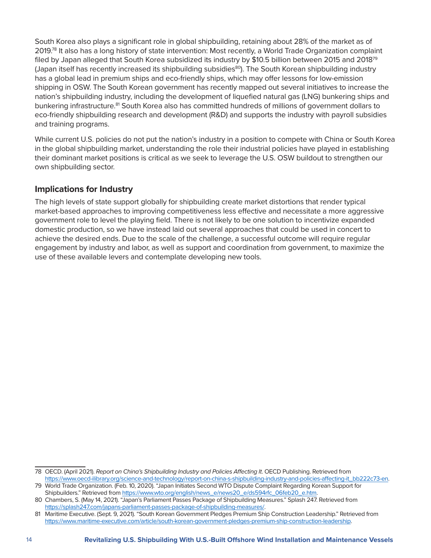South Korea also plays a significant role in global shipbuilding, retaining about 28% of the market as of 2019.<sup>78</sup> It also has a long history of state intervention: Most recently, a World Trade Organization complaint filed by Japan alleged that South Korea subsidized its industry by \$10.5 billion between 2015 and 2018<sup>79</sup> (Japan itself has recently increased its shipbuilding subsidies<sup>80</sup>). The South Korean shipbuilding industry has a global lead in premium ships and eco-friendly ships, which may offer lessons for low-emission shipping in OSW. The South Korean government has recently mapped out several initiatives to increase the nation's shipbuilding industry, including the development of liquefied natural gas (LNG) bunkering ships and bunkering infrastructure.<sup>81</sup> South Korea also has committed hundreds of millions of government dollars to eco-friendly shipbuilding research and development (R&D) and supports the industry with payroll subsidies and training programs.

While current U.S. policies do not put the nation's industry in a position to compete with China or South Korea in the global shipbuilding market, understanding the role their industrial policies have played in establishing their dominant market positions is critical as we seek to leverage the U.S. OSW buildout to strengthen our own shipbuilding sector.

#### **Implications for Industry**

The high levels of state support globally for shipbuilding create market distortions that render typical market-based approaches to improving competitiveness less effective and necessitate a more aggressive government role to level the playing field. There is not likely to be one solution to incentivize expanded domestic production, so we have instead laid out several approaches that could be used in concert to achieve the desired ends. Due to the scale of the challenge, a successful outcome will require regular engagement by industry and labor, as well as support and coordination from government, to maximize the use of these available levers and contemplate developing new tools.

<sup>78</sup> OECD. (April 2021). *Report on China's Shipbuilding Industry and Policies Affecting It*. OECD Publishing. Retrieved from [https://www.oecd-ilibrary.org/science-and-technology/report-on-china-s-shipbuilding-industry-and-policies-affecting-it\\_bb222c73-en.](https://www.oecd-ilibrary.org/science-and-technology/report-on-china-s-shipbuilding-industry-and-policies-affecting-it_bb222c73-en)

<sup>79</sup> World Trade Organization. (Feb. 10, 2020). "Japan Initiates Second WTO Dispute Complaint Regarding Korean Support for Shipbuilders." Retrieved from [https://www.wto.org/english/news\\_e/news20\\_e/ds594rfc\\_06feb20\\_e.htm.](https://www.wto.org/english/news_e/news20_e/ds594rfc_06feb20_e.htm)

<sup>80</sup> Chambers, S. (May 14, 2021). "Japan's Parliament Passes Package of Shipbuilding Measures." Splash 247. Retrieved from [https://splash247.com/japans-parliament-passes-package-of-shipbuilding-measures/.](https://splash247.com/japans-parliament-passes-package-of-shipbuilding-measures/)

<sup>81</sup> Maritime Executive. (Sept. 9, 2021). "South Korean Government Pledges Premium Ship Construction Leadership." Retrieved from <https://www.maritime-executive.com/article/south-korean-government-pledges-premium-ship-construction-leadership>.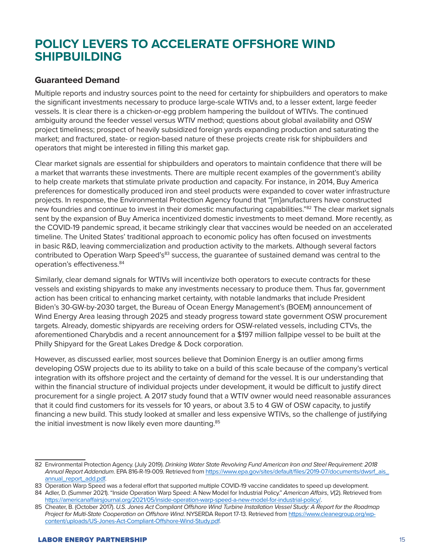### **POLICY LEVERS TO ACCELERATE OFFSHORE WIND SHIPBUILDING**

#### **Guaranteed Demand**

Multiple reports and industry sources point to the need for certainty for shipbuilders and operators to make the significant investments necessary to produce large-scale WTIVs and, to a lesser extent, large feeder vessels. It is clear there is a chicken-or-egg problem hampering the buildout of WTIVs. The continued ambiguity around the feeder vessel versus WTIV method; questions about global availability and OSW project timeliness; prospect of heavily subsidized foreign yards expanding production and saturating the market; and fractured, state- or region-based nature of these projects create risk for shipbuilders and operators that might be interested in filling this market gap.

Clear market signals are essential for shipbuilders and operators to maintain confidence that there will be a market that warrants these investments. There are multiple recent examples of the government's ability to help create markets that stimulate private production and capacity. For instance, in 2014, Buy America preferences for domestically produced iron and steel products were expanded to cover water infrastructure projects. In response, the Environmental Protection Agency found that "[m]anufacturers have constructed new foundries and continue to invest in their domestic manufacturing capabilities."<sup>82</sup> The clear market signals sent by the expansion of Buy America incentivized domestic investments to meet demand. More recently, as the COVID-19 pandemic spread, it became strikingly clear that vaccines would be needed on an accelerated timeline. The United States' traditional approach to economic policy has often focused on investments in basic R&D, leaving commercialization and production activity to the markets. Although several factors contributed to Operation Warp Speed's<sup>83</sup> success, the guarantee of sustained demand was central to the operation's effectiveness.<sup>84</sup>

Similarly, clear demand signals for WTIVs will incentivize both operators to execute contracts for these vessels and existing shipyards to make any investments necessary to produce them. Thus far, government action has been critical to enhancing market certainty, with notable landmarks that include President Biden's 30-GW-by-2030 target, the Bureau of Ocean Energy Management's (BOEM) announcement of Wind Energy Area leasing through 2025 and steady progress toward state government OSW procurement targets. Already, domestic shipyards are receiving orders for OSW-related vessels, including CTVs, the aforementioned Charybdis and a recent announcement for a \$197 million fallpipe vessel to be built at the Philly Shipyard for the Great Lakes Dredge & Dock corporation.

However, as discussed earlier, most sources believe that Dominion Energy is an outlier among firms developing OSW projects due to its ability to take on a build of this scale because of the company's vertical integration with its offshore project and the certainty of demand for the vessel. It is our understanding that within the financial structure of individual projects under development, it would be difficult to justify direct procurement for a single project. A 2017 study found that a WTIV owner would need reasonable assurances that it could find customers for its vessels for 10 years, or about 3.5 to 4 GW of OSW capacity, to justify financing a new build. This study looked at smaller and less expensive WTIVs, so the challenge of justifying the initial investment is now likely even more daunting.<sup>85</sup>

<sup>82</sup> Environmental Protection Agency. (July 2019). *Drinking Water State Revolving Fund American Iron and Steel Requirement: 2018 Annual Report Addendum*. EPA 816-R-19-009. Retrieved from [https://www.epa.gov/sites/default/files/2019-07/documents/dwsrf\\_ais\\_](https://www.epa.gov/sites/default/files/2019-07/documents/dwsrf_ais_annual_report_add.pdf) [annual\\_report\\_add.pdf](https://www.epa.gov/sites/default/files/2019-07/documents/dwsrf_ais_annual_report_add.pdf).

<sup>83</sup> Operation Warp Speed was a federal effort that supported multiple [COVID-19](https://www.gao.gov/coronavirus/) vaccine candidates to speed up development.

<sup>84</sup> Adler, D. (Summer 2021). "Inside Operation Warp Speed: A New Model for Industrial Policy." *American Affairs*, *V*(2). Retrieved from [https://americanaffairsjournal.org/2021/05/inside-operation-warp-speed-a-new-model-for-industrial-policy/.](https://americanaffairsjournal.org/2021/05/inside-operation-warp-speed-a-new-model-for-industrial-policy/)

<sup>85</sup> Cheater, B. (October 2017). *U.S. Jones Act Compliant Offshore Wind Turbine Installation Vessel Study: A Report for the Roadmap Project for Multi-State Cooperation on Offshore Wind*. NYSERDA Report 17-13. Retrieved from [https://www.cleanegroup.org/wp](https://www.cleanegroup.org/wp-content/uploads/US-Jones-Act-Compliant-Offshore-Wind-Study.pdf)[content/uploads/US-Jones-Act-Compliant-Offshore-Wind-Study.pdf.](https://www.cleanegroup.org/wp-content/uploads/US-Jones-Act-Compliant-Offshore-Wind-Study.pdf)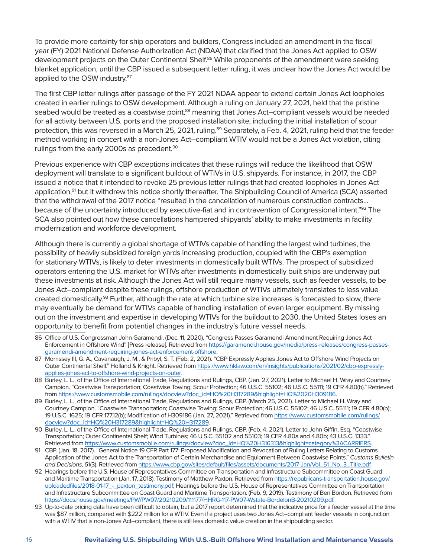To provide more certainty for ship operators and builders, Congress included an amendment in the fiscal year (FY) 2021 National Defense Authorization Act (NDAA) that clarified that the Jones Act applied to OSW development projects on the Outer Continental Shelf.<sup>86</sup> While proponents of the amendment were seeking blanket application, until the CBP issued a subsequent letter ruling, it was unclear how the Jones Act would be applied to the OSW industry.<sup>87</sup>

The first CBP letter rulings after passage of the FY 2021 NDAA appear to extend certain Jones Act loopholes created in earlier rulings to OSW development. Although a ruling on January 27, 2021, held that the pristine seabed would be treated as a coastwise point,<sup>88</sup> meaning that Jones Act-compliant vessels would be needed for all activity between U.S. ports and the proposed installation site, including the initial installation of scour protection, this was reversed in a March 25, 2021, ruling.<sup>89</sup> Separately, a Feb. 4, 2021, ruling held that the feeder method working in concert with a non-Jones Act–compliant WTIV would not be a Jones Act violation, citing rulings from the early 2000s as precedent.<sup>90</sup>

Previous experience with CBP exceptions indicates that these rulings will reduce the likelihood that OSW deployment will translate to a significant buildout of WTIVs in U.S. shipyards. For instance, in 2017, the CBP issued a notice that it intended to revoke 25 previous letter rulings that had created loopholes in Jones Act application,<sup>91</sup> but it withdrew this notice shortly thereafter. The Shipbuilding Council of America (SCA) asserted that the withdrawal of the 2017 notice "resulted in the cancellation of numerous construction contracts… because of the uncertainty introduced by executive-fiat and in contravention of Congressional intent."92 The SCA also pointed out how these cancellations hampered shipyards' ability to make investments in facility modernization and workforce development.

Although there is currently a global shortage of WTIVs capable of handling the largest wind turbines, the possibility of heavily subsidized foreign yards increasing production, coupled with the CBP's exemption for stationary WTIVs, is likely to deter investments in domestically built WTIVs. The prospect of subsidized operators entering the U.S. market for WTIVs after investments in domestically built ships are underway put these investments at risk. Although the Jones Act will still require many vessels, such as feeder vessels, to be Jones Act–compliant despite these rulings, offshore production of WTIVs ultimately translates to less value created domestically.<sup>93</sup> Further, although the rate at which turbine size increases is forecasted to slow, there may eventually be demand for WTIVs capable of handling installation of even larger equipment. By missing out on the investment and expertise in developing WTIVs for the buildout to 2030, the United States loses an opportunity to benefit from potential changes in the industry's future vessel needs.

- 86 Office of U.S. Congressman John Garamendi. (Dec. 11, 2020). "Congress Passes Garamendi Amendment Requiring Jones Act Enforcement in Offshore Wind" [Press release]. Retrieved from [https://garamendi.house.gov/media/press-releases/congress-passes](https://garamendi.house.gov/media/press-releases/congress-passes-garamendi-amendment-requiring-jones-act-enforcement-offshore)[garamendi-amendment-requiring-jones-act-enforcement-offshore](https://garamendi.house.gov/media/press-releases/congress-passes-garamendi-amendment-requiring-jones-act-enforcement-offshore).
- 87 Morrissey III, G. A., Cavanaugh, J. M., & Pribyl, S. T. (Feb. 2, 2021). "CBP Expressly Applies Jones Act to Offshore Wind Projects on Outer Continental Shelf." Holland & Knight. Retrieved from [https://www.hklaw.com/en/insights/publications/2021/02/cbp-expressly](https://www.hklaw.com/en/insights/publications/2021/02/cbp-expressly-applies-jones-act-to-offshore-wind-projects-on-outer)[applies-jones-act-to-offshore-wind-projects-on-outer.](https://www.hklaw.com/en/insights/publications/2021/02/cbp-expressly-applies-jones-act-to-offshore-wind-projects-on-outer)
- 88 Burley, L. L., of the Office of International Trade, Regulations and Rulings, CBP. (Jan. 27, 2021). Letter to Michael H. Wray and Courtney Campion. "Coastwise Transportation; Coastwise Towing; Scour Protection; 46 U.S.C. 55102; 46 U.S.C. 55111; 19 CFR 4.80(b)." Retrieved from [https://www.customsmobile.com/rulings/docview?doc\\_id=HQ%20H317289&highlight=HQ%2020H309186.](https://www.customsmobile.com/rulings/docview?doc_id=HQ%20H317289&highlight=HQ%2020H309186)
- 89 Burley, L. L., of the Office of International Trade, Regulations and Rulings, CBP. (March 25, 2021). Letter to Michael H. Wray and Courtney Campion. "Coastwise Transportation; Coastwise Towing; Scour Protection; 46 U.S.C. 55102; 46 U.S.C. 55111; 19 CFR 4.80(b); 19 U.S.C. 1625; 19 CFR 177.12(b); Modification of H309186 (Jan. 27, 2021)." Retrieved from [https://www.customsmobile.com/rulings/](https://www.customsmobile.com/rulings/docview?doc_id=HQ H317289&highlight=HQ H317289) [docview?doc\\_id=HQ%20H317289&highlight=HQ%20H317289](https://www.customsmobile.com/rulings/docview?doc_id=HQ H317289&highlight=HQ H317289).
- 90 Burley, L. L., of the Office of International Trade, Regulations and Rulings, CBP. (Feb. 4, 2021). Letter to John Giffin, Esq. "Coastwise Transportation; Outer Continental Shelf; Wind Turbines; 46 U.S.C. 55102 and 55103; 19 CFR 4.80a and 4.80b; 43 U.S.C. 1333." Retrieved from [https://www.customsmobile.com/rulings/docview?doc\\_id=HQ%20H316313&highlight=category%3ACARRIERS.](https://www.customsmobile.com/rulings/docview?doc_id=HQ H316313&highlight=category%3ACARRIERS)
- 91 CBP. (Jan. 18, 2017). "General Notice 19 CFR Part 177: Proposed Modification and Revocation of Ruling Letters Relating to Customs Application of the Jones Act to the Transportation of Certain Merchandise and Equipment Between Coastwise Points." *Customs Bulletin and Decisions*, *51*(3). Retrieved from [https://www.cbp.gov/sites/default/files/assets/documents/2017-Jan/Vol\\_51\\_No\\_3\\_Title.pdf](https://www.cbp.gov/sites/default/files/assets/documents/2017-Jan/Vol_51_No_3_Title.pdf).
- 92 Hearings before the U.S. House of Representatives Committee on Transportation and Infrastructure Subcommittee on Coast Guard and Maritime Transportation (Jan. 17, 2018). Testimony of Matthew Paxton. Retrieved from [https://republicans-transportation.house.gov/](https://republicans-transportation.house.gov/uploadedfiles/2018-01-17_-_paxton_testimony.pdf) uploadedfiles/2018-01-17 - paxton\_testimony.pdf; Hearings before the U.S. House of Representatives Committee on Transportation and Infrastructure Subcommittee on Coast Guard and Maritime Transportation. (Feb. 9, 2019). Testimony of Ben Bordon. Retrieved from <https://docs.house.gov/meetings/PW/PW07/20210209/111177/HHRG-117-PW07-Wstate-BordelonB-20210209.pdf>.
- 93 Up-to-date pricing data have been difficult to obtain, but a 2017 report determined that the indicative price for a feeder vessel at the time was \$87 million, compared with \$222 million for a WTIV. Even if a project uses two Jones Act–compliant feeder vessels in conjunction with a WTIV that is non-Jones Act–compliant, there is still less domestic value creation in the shipbuilding sector.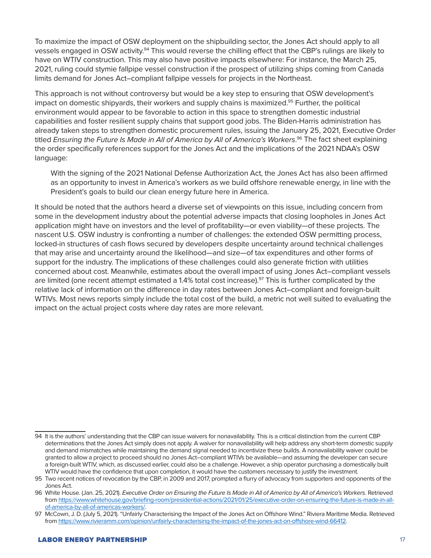To maximize the impact of OSW deployment on the shipbuilding sector, the Jones Act should apply to all vessels engaged in OSW activity.94 This would reverse the chilling effect that the CBP's rulings are likely to have on WTIV construction. This may also have positive impacts elsewhere: For instance, the March 25, 2021, ruling could stymie fallpipe vessel construction if the prospect of utilizing ships coming from Canada limits demand for Jones Act–compliant fallpipe vessels for projects in the Northeast.

This approach is not without controversy but would be a key step to ensuring that OSW development's impact on domestic shipyards, their workers and supply chains is maximized.<sup>95</sup> Further, the political environment would appear to be favorable to action in this space to strengthen domestic industrial capabilities and foster resilient supply chains that support good jobs. The Biden-Harris administration has already taken steps to strengthen domestic procurement rules, issuing the January 25, 2021, Executive Order titled *Ensuring the Future Is Made in All of America by All of America's Workers*. 96 The fact sheet explaining the order specifically references support for the Jones Act and the implications of the 2021 NDAA's OSW language:

With the signing of the 2021 National Defense Authorization Act, the Jones Act has also been affirmed as an opportunity to invest in America's workers as we build offshore renewable energy, in line with the President's goals to build our clean energy future here in America.

It should be noted that the authors heard a diverse set of viewpoints on this issue, including concern from some in the development industry about the potential adverse impacts that closing loopholes in Jones Act application might have on investors and the level of profitability—or even viability—of these projects. The nascent U.S. OSW industry is confronting a number of challenges: the extended OSW permitting process, locked-in structures of cash flows secured by developers despite uncertainty around technical challenges that may arise and uncertainty around the likelihood—and size—of tax expenditures and other forms of support for the industry. The implications of these challenges could also generate friction with utilities concerned about cost. Meanwhile, estimates about the overall impact of using Jones Act–compliant vessels are limited (one recent attempt estimated a 1.4% total cost increase).<sup>97</sup> This is further complicated by the relative lack of information on the difference in day rates between Jones Act–compliant and foreign-built WTIVs. Most news reports simply include the total cost of the build, a metric not well suited to evaluating the impact on the actual project costs where day rates are more relevant.

<sup>94</sup> It is the authors' understanding that the CBP can issue waivers for nonavailability. This is a critical distinction from the current CBP determinations that the Jones Act simply does not apply. A waiver for nonavailability will help address any short-term domestic supply and demand mismatches while maintaining the demand signal needed to incentivize these builds. A nonavailability waiver could be granted to allow a project to proceed should no Jones Act–compliant WTIVs be available—and assuming the developer can secure a foreign-built WTIV, which, as discussed earlier, could also be a challenge. However, a ship operator purchasing a domestically built WTIV would have the confidence that upon completion, it would have the customers necessary to justify the investment.

<sup>95</sup> Two recent notices of revocation by the CBP, in 2009 and 2017, prompted a flurry of advocacy from supporters and opponents of the Jones Act.

<sup>96</sup> White House. (Jan. 25, 2021). *Executive Order on Ensuring the Future Is Made in All of America by All of America's Workers*. Retrieved from [https://www.whitehouse.gov/briefing-room/presidential-actions/2021/01/25/executive-order-on-ensuring-the-future-is-made-in-all](https://www.whitehouse.gov/briefing-room/presidential-actions/2021/01/25/executive-order-on-ensuring-the-future-is-made-in-all-of-america-by-all-of-americas-workers/)[of-america-by-all-of-americas-workers/](https://www.whitehouse.gov/briefing-room/presidential-actions/2021/01/25/executive-order-on-ensuring-the-future-is-made-in-all-of-america-by-all-of-americas-workers/).

<sup>97</sup> McCown, J. D. (July 5, 2021). "Unfairly Characterising the Impact of the Jones Act on Offshore Wind." Riviera Maritime Media. Retrieved from [https://www.rivieramm.com/opinion/unfairly-characterising-the-impact-of-the-jones-act-on-offshore-wind-66412.](https://www.rivieramm.com/opinion/unfairly-characterising-the-impact-of-the-jones-act-on-offshore-wind-66412)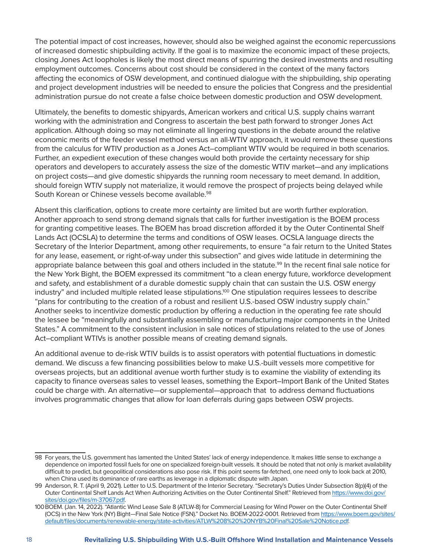The potential impact of cost increases, however, should also be weighed against the economic repercussions of increased domestic shipbuilding activity. If the goal is to maximize the economic impact of these projects, closing Jones Act loopholes is likely the most direct means of spurring the desired investments and resulting employment outcomes. Concerns about cost should be considered in the context of the many factors affecting the economics of OSW development, and continued dialogue with the shipbuilding, ship operating and project development industries will be needed to ensure the policies that Congress and the presidential administration pursue do not create a false choice between domestic production and OSW development.

Ultimately, the benefits to domestic shipyards, American workers and critical U.S. supply chains warrant working with the administration and Congress to ascertain the best path forward to stronger Jones Act application. Although doing so may not eliminate all lingering questions in the debate around the relative economic merits of the feeder vessel method versus an all-WTIV approach, it would remove these questions from the calculus for WTIV production as a Jones Act–compliant WTIV would be required in both scenarios. Further, an expedient execution of these changes would both provide the certainty necessary for ship operators and developers to accurately assess the size of the domestic WTIV market—and any implications on project costs—and give domestic shipyards the running room necessary to meet demand. In addition, should foreign WTIV supply not materialize, it would remove the prospect of projects being delayed while South Korean or Chinese vessels become available.<sup>98</sup>

Absent this clarification, options to create more certainty are limited but are worth further exploration. Another approach to send strong demand signals that calls for further investigation is the BOEM process for granting competitive leases. The BOEM has broad discretion afforded it by the Outer Continental Shelf Lands Act (OCSLA) to determine the terms and conditions of OSW leases. OCSLA language directs the Secretary of the Interior Department, among other requirements, to ensure "a fair return to the United States for any lease, easement, or right-of-way under this subsection" and gives wide latitude in determining the appropriate balance between this goal and others included in the statute.<sup>99</sup> In the recent final sale notice for the New York Bight, the BOEM expressed its commitment "to a clean energy future, workforce development and safety, and establishment of a durable domestic supply chain that can sustain the U.S. OSW energy industry" and included multiple related lease stipulations.<sup>100</sup> One stipulation requires lessees to describe "plans for contributing to the creation of a robust and resilient U.S.-based OSW industry supply chain." Another seeks to incentivize domestic production by offering a reduction in the operating fee rate should the lessee be "meaningfully and substantially assembling or manufacturing major components in the United States." A commitment to the consistent inclusion in sale notices of stipulations related to the use of Jones Act–compliant WTIVs is another possible means of creating demand signals.

An additional avenue to de-risk WTIV builds is to assist operators with potential fluctuations in domestic demand. We discuss a few financing possibilities below to make U.S.-built vessels more competitive for overseas projects, but an additional avenue worth further study is to examine the viability of extending its capacity to finance overseas sales to vessel leases, something the Export–Import Bank of the United States could be charge with. An alternative—or supplemental—approach that to address demand fluctuations involves programmatic changes that allow for loan deferrals during gaps between OSW projects.

<sup>98</sup> For years, the U.S. government has lamented the United States' lack of energy independence. It makes little sense to exchange a dependence on imported fossil fuels for one on specialized foreign-built vessels. It should be noted that not only is market availability difficult to predict, but geopolitical considerations also pose risk. If this point seems far-fetched, one need only to look back at 2010, when China used its dominance of rare earths as leverage in a diplomatic dispute with Japan.

<sup>99</sup> Anderson, R. T. (April 9, 2021). Letter to U.S. Department of the Interior Secretary. "Secretary's Duties Under Subsection 8(p)(4) of the Outer Continental Shelf Lands Act When Authorizing Activities on the Outer Continental Shelf." Retrieved from [https://www.doi.gov/](https://www.doi.gov/sites/doi.gov/files/m-37067.pdf) [sites/doi.gov/files/m-37067.pdf.](https://www.doi.gov/sites/doi.gov/files/m-37067.pdf)

<sup>100</sup>BOEM. (Jan. 14, 2022). "Atlantic Wind Lease Sale 8 (ATLW-8) for Commercial Leasing for Wind Power on the Outer Continental Shelf (OCS) in the New York (NY) Bight—Final Sale Notice (FSN)." Docket No. BOEM-2022-0001. Retrieved from [https://www.boem.gov/sites/](https://www.boem.gov/sites/default/files/documents/renewable-energy/state-activities/ATLW 8  NYB Final Sale Notice.pdf) [default/files/documents/renewable-energy/state-activities/ATLW%208%20%20NYB%20Final%20Sale%20Notice.pdf.](https://www.boem.gov/sites/default/files/documents/renewable-energy/state-activities/ATLW 8  NYB Final Sale Notice.pdf)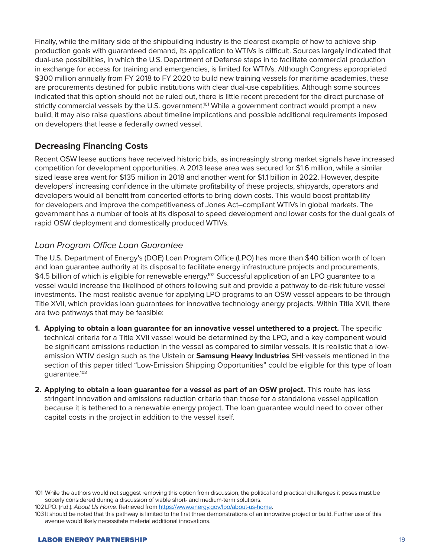Finally, while the military side of the shipbuilding industry is the clearest example of how to achieve ship production goals with guaranteed demand, its application to WTIVs is difficult. Sources largely indicated that dual-use possibilities, in which the U.S. Department of Defense steps in to facilitate commercial production in exchange for access for training and emergencies, is limited for WTIVs. Although Congress appropriated \$300 million annually from FY 2018 to FY 2020 to build new training vessels for maritime academies, these are procurements destined for public institutions with clear dual-use capabilities. Although some sources indicated that this option should not be ruled out, there is little recent precedent for the direct purchase of strictly commercial vessels by the U.S. government.<sup>101</sup> While a government contract would prompt a new build, it may also raise questions about timeline implications and possible additional requirements imposed on developers that lease a federally owned vessel.

#### **Decreasing Financing Costs**

Recent OSW lease auctions have received historic bids, as increasingly strong market signals have increased competition for development opportunities. A 2013 lease area was secured for \$1.6 million, while a similar sized lease area went for \$135 million in 2018 and another went for \$1.1 billion in 2022. However, despite developers' increasing confidence in the ultimate profitability of these projects, shipyards, operators and developers would all benefit from concerted efforts to bring down costs. This would boost profitability for developers and improve the competitiveness of Jones Act–compliant WTIVs in global markets. The government has a number of tools at its disposal to speed development and lower costs for the dual goals of rapid OSW deployment and domestically produced WTIVs.

#### *Loan Program Office Loan Guarantee*

The U.S. Department of Energy's (DOE) Loan Program Office (LPO) has more than \$40 billion worth of loan and loan guarantee authority at its disposal to facilitate energy infrastructure projects and procurements, \$4.5 billion of which is eligible for renewable energy.<sup>102</sup> Successful application of an LPO guarantee to a vessel would increase the likelihood of others following suit and provide a pathway to de-risk future vessel investments. The most realistic avenue for applying LPO programs to an OSW vessel appears to be through Title XVII, which provides loan guarantees for innovative technology energy projects. Within Title XVII, there are two pathways that may be feasible:

- **1. Applying to obtain a loan guarantee for an innovative vessel untethered to a project.** The specific technical criteria for a Title XVII vessel would be determined by the LPO, and a key component would be significant emissions reduction in the vessel as compared to similar vessels. It is realistic that a lowemission WTIV design such as the Ulstein or **Samsung Heavy Industries** SHI vessels mentioned in the section of this paper titled "Low-Emission Shipping Opportunities" could be eligible for this type of loan guarantee.103
- **2. Applying to obtain a loan guarantee for a vessel as part of an OSW project.** This route has less stringent innovation and emissions reduction criteria than those for a standalone vessel application because it is tethered to a renewable energy project. The loan guarantee would need to cover other capital costs in the project in addition to the vessel itself.

<sup>101</sup> While the authors would not suggest removing this option from discussion, the political and practical challenges it poses must be soberly considered during a discussion of viable short- and medium-term solutions.

<sup>102</sup>LPO. (n.d.). *About Us Home*. Retrieved from <https://www.energy.gov/lpo/about-us-home>.

<sup>103</sup> It should be noted that this pathway is limited to the first three demonstrations of an innovative project or build. Further use of this avenue would likely necessitate material additional innovations.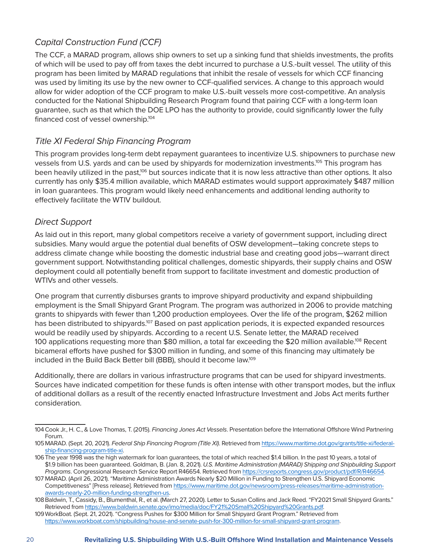#### *Capital Construction Fund (CCF)*

The CCF, a MARAD program, allows ship owners to set up a sinking fund that shields investments, the profits of which will be used to pay off from taxes the debt incurred to purchase a U.S.-built vessel. The utility of this program has been limited by MARAD regulations that inhibit the resale of vessels for which CCF financing was used by limiting its use by the new owner to CCF-qualified services. A change to this approach would allow for wider adoption of the CCF program to make U.S.-built vessels more cost-competitive. An analysis conducted for the National Shipbuilding Research Program found that pairing CCF with a long-term loan guarantee, such as that which the DOE LPO has the authority to provide, could significantly lower the fully financed cost of vessel ownership.<sup>104</sup>

#### *Title XI Federal Ship Financing Program*

This program provides long-term debt repayment guarantees to incentivize U.S. shipowners to purchase new vessels from U.S. yards and can be used by shipyards for modernization investments.<sup>105</sup> This program has been heavily utilized in the past,<sup>106</sup> but sources indicate that it is now less attractive than other options. It also currently has only \$35.4 million available, which MARAD estimates would support approximately \$487 million in loan guarantees. This program would likely need enhancements and additional lending authority to effectively facilitate the WTIV buildout.

#### *Direct Support*

As laid out in this report, many global competitors receive a variety of government support, including direct subsidies. Many would argue the potential dual benefits of OSW development—taking concrete steps to address climate change while boosting the domestic industrial base and creating good jobs—warrant direct government support. Notwithstanding political challenges, domestic shipyards, their supply chains and OSW deployment could all potentially benefit from support to facilitate investment and domestic production of WTIVs and other vessels.

One program that currently disburses grants to improve shipyard productivity and expand shipbuilding employment is the Small Shipyard Grant Program. The program was authorized in 2006 to provide matching grants to shipyards with fewer than 1,200 production employees. Over the life of the program, \$262 million has been distributed to shipyards.<sup>107</sup> Based on past application periods, it is expected expanded resources would be readily used by shipyards. According to a recent U.S. Senate letter, the MARAD received 100 applications requesting more than \$80 million, a total far exceeding the \$20 million available.<sup>108</sup> Recent bicameral efforts have pushed for \$300 million in funding, and some of this financing may ultimately be included in the Build Back Better bill (BBB), should it become law.<sup>109</sup>

Additionally, there are dollars in various infrastructure programs that can be used for shipyard investments. Sources have indicated competition for these funds is often intense with other transport modes, but the influx of additional dollars as a result of the recently enacted Infrastructure Investment and Jobs Act merits further consideration.

<sup>104</sup>Cook Jr., H. C., & Love Thomas, T. (2015). *Financing Jones Act Vessels*. Presentation before the International Offshore Wind Partnering Forum.

<sup>105</sup>MARAD. (Sept. 20, 2021). *Federal Ship Financing Program (Title XI)*. Retrieved from [https://www.maritime.dot.gov/grants/title-xi/federal](https://www.maritime.dot.gov/grants/title-xi/federal-ship-financing-program-title-xi)[ship-financing-program-title-xi](https://www.maritime.dot.gov/grants/title-xi/federal-ship-financing-program-title-xi).

<sup>106</sup>The year 1998 was the high watermark for loan guarantees, the total of which reached \$1.4 billion. In the past 10 years, a total of \$1.9 billion has been guaranteed. Goldman, B. (Jan. 8, 2021). *U.S. Maritime Administration (MARAD) Shipping and Shipbuilding Support Programs*. Congressional Research Service Report R46654. Retrieved from [https://crsreports.congress.gov/product/pdf/R/R46654.](https://crsreports.congress.gov/product/pdf/R/R46654)

<sup>107</sup> MARAD. (April 26, 2021). "Maritime Administration Awards Nearly \$20 Million in Funding to Strengthen U.S. Shipyard Economic Competitiveness" [Press release]. Retrieved from [https://www.maritime.dot.gov/newsroom/press-releases/maritime-administration](https://www.maritime.dot.gov/newsroom/press-releases/maritime-administration-awards-nearly-20-million-funding-strengthen-us)[awards-nearly-20-million-funding-strengthen-us](https://www.maritime.dot.gov/newsroom/press-releases/maritime-administration-awards-nearly-20-million-funding-strengthen-us).

<sup>108</sup>Baldwin, T., Cassidy, B., Blumenthal, R., et al. (March 27, 2020). Letter to Susan Collins and Jack Reed. "FY2021 Small Shipyard Grants." Retrieved from [https://www.baldwin.senate.gov/imo/media/doc/FY21%20Small%20Shipyard%20Grants.pdf.](https://www.baldwin.senate.gov/imo/media/doc/FY21 Small Shipyard Grants.pdf)

<sup>109</sup>WorkBoat. (Sept. 21, 2021). "Congress Pushes for \$300 Million for Small Shipyard Grant Program." Retrieved from <https://www.workboat.com/shipbuilding/house-and-senate-push-for-300-million-for-small-shipyard-grant-program>.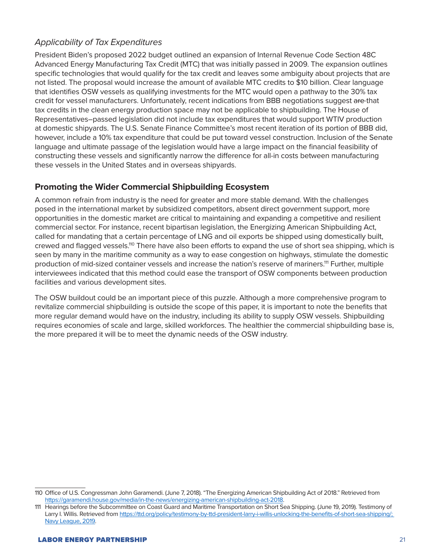### *Applicability of Tax Expenditures*

President Biden's proposed 2022 budget outlined an expansion of Internal Revenue Code Section 48C Advanced Energy Manufacturing Tax Credit (MTC) that was initially passed in 2009. The expansion outlines specific technologies that would qualify for the tax credit and leaves some ambiguity about projects that are not listed. The proposal would increase the amount of available MTC credits to \$10 billion. Clear language that identifies OSW vessels as qualifying investments for the MTC would open a pathway to the 30% tax credit for vessel manufacturers. Unfortunately, recent indications from BBB negotiations suggest are that tax credits in the clean energy production space may not be applicable to shipbuilding. The House of Representatives–passed legislation did not include tax expenditures that would support WTIV production at domestic shipyards. The U.S. Senate Finance Committee's most recent iteration of its portion of BBB did, however, include a 10% tax expenditure that could be put toward vessel construction. Inclusion of the Senate language and ultimate passage of the legislation would have a large impact on the financial feasibility of constructing these vessels and significantly narrow the difference for all-in costs between manufacturing these vessels in the United States and in overseas shipyards.

#### **Promoting the Wider Commercial Shipbuilding Ecosystem**

A common refrain from industry is the need for greater and more stable demand. With the challenges posed in the international market by subsidized competitors, absent direct government support, more opportunities in the domestic market are critical to maintaining and expanding a competitive and resilient commercial sector. For instance, recent bipartisan legislation, the Energizing American Shipbuilding Act, called for mandating that a certain percentage of LNG and oil exports be shipped using domestically built, crewed and flagged vessels.<sup>110</sup> There have also been efforts to expand the use of short sea shipping, which is seen by many in the maritime community as a way to ease congestion on highways, stimulate the domestic production of mid-sized container vessels and increase the nation's reserve of mariners.<sup>111</sup> Further, multiple interviewees indicated that this method could ease the transport of OSW components between production facilities and various development sites.

The OSW buildout could be an important piece of this puzzle. Although a more comprehensive program to revitalize commercial shipbuilding is outside the scope of this paper, it is important to note the benefits that more regular demand would have on the industry, including its ability to supply OSW vessels. Shipbuilding requires economies of scale and large, skilled workforces. The healthier the commercial shipbuilding base is, the more prepared it will be to meet the dynamic needs of the OSW industry.

<sup>110</sup> Office of U.S. Congressman John Garamendi. (June 7, 2018). "The Energizing American Shipbuilding Act of 2018." Retrieved from <https://garamendi.house.gov/media/in-the-news/energizing-american-shipbuilding-act-2018>.

<sup>111</sup> Hearings before the Subcommittee on Coast Guard and Maritime Transportation on Short Sea Shipping. (June 19, 2019). Testimony of Larry I. Willis. Retrieved from<https://ttd.org/policy/testimony-by-ttd-president-larry-i-willis-unlocking-the-benefits-of-short-sea-shipping/>; [Navy](https://www.navyleague.org/wp-content/uploads/2021/10/Sealift-Capacity-Report.pdf) League, 2019.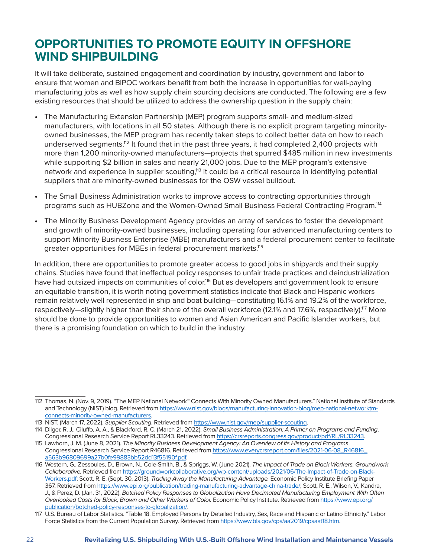### **OPPORTUNITIES TO PROMOTE EQUITY IN OFFSHORE WIND SHIPBUILDING**

It will take deliberate, sustained engagement and coordination by industry, government and labor to ensure that women and BIPOC workers benefit from both the increase in opportunities for well-paying manufacturing jobs as well as how supply chain sourcing decisions are conducted. The following are a few existing resources that should be utilized to address the ownership question in the supply chain:

- The Manufacturing Extension Partnership (MEP) program supports small- and medium-sized manufacturers, with locations in all 50 states. Although there is no explicit program targeting minorityowned businesses, the MEP program has recently taken steps to collect better data on how to reach underserved segments.<sup>112</sup> It found that in the past three years, it had completed 2,400 projects with more than 1,200 minority-owned manufacturers—projects that spurred \$485 million in new investments while supporting \$2 billion in sales and nearly 21,000 jobs. Due to the MEP program's extensive network and experience in supplier scouting,<sup>113</sup> it could be a critical resource in identifying potential suppliers that are minority-owned businesses for the OSW vessel buildout.
- The Small Business Administration works to improve access to contracting opportunities through programs such as HUBZone and the Women-Owned Small Business Federal Contracting Program.114
- The Minority Business Development Agency provides an array of services to foster the development and growth of minority-owned businesses, including operating four advanced manufacturing centers to support Minority Business Enterprise (MBE) manufacturers and a federal procurement center to facilitate greater opportunities for MBEs in federal procurement markets.<sup>115</sup>

In addition, there are opportunities to promote greater access to good jobs in shipyards and their supply chains. Studies have found that ineffectual policy responses to unfair trade practices and deindustrialization have had outsized impacts on communities of color.<sup>116</sup> But as developers and government look to ensure an equitable transition, it is worth noting government statistics indicate that Black and Hispanic workers remain relatively well represented in ship and boat building—constituting 16.1% and 19.2% of the workforce, respectively—slightly higher than their share of the overall workforce (12.1% and 17.6%, respectively).<sup>117</sup> More should be done to provide opportunities to women and Asian American and Pacific Islander workers, but there is a promising foundation on which to build in the industry.

<sup>112</sup> Thomas, N. (Nov. 9, 2019). "The MEP National Network™ Connects With Minority Owned Manufacturers." National Institute of Standards and Technology (NIST) blog. Retrieved from [https://www.nist.gov/blogs/manufacturing-innovation-blog/mep-national-networktm](https://www.nist.gov/blogs/manufacturing-innovation-blog/mep-national-networktm-connects-minority-owned-manufacturers)[connects-minority-owned-manufacturers](https://www.nist.gov/blogs/manufacturing-innovation-blog/mep-national-networktm-connects-minority-owned-manufacturers).

<sup>113</sup> NIST. (March 17, 2022). *Supplier Scouting*. Retrieved from [https://www.nist.gov/mep/supplier-scouting.](https://www.nist.gov/mep/supplier-scouting)

<sup>114</sup> Dilger, R. J., Ciluffo, A. A., & Blackford, R. C. (March 21, 2022). *Small Business Administration: A Primer on Programs and Funding*. Congressional Research Service Report RL33243. Retrieved from<https://crsreports.congress.gov/product/pdf/RL/RL33243>.

<sup>115</sup> Lawhorn, J. M. (June 8, 2021). *The Minority Business Development Agency: An Overview of Its History and Programs*. Congressional Research Service Report R46816. Retrieved from [https://www.everycrsreport.com/files/2021-06-08\\_R46816\\_](https://www.everycrsreport.com/files/2021-06-08_R46816_a563b96809699a27b0fe99883bb52dd13f55190f.pdf) [a563b96809699a27b0fe99883bb52dd13f55190f.pdf](https://www.everycrsreport.com/files/2021-06-08_R46816_a563b96809699a27b0fe99883bb52dd13f55190f.pdf).

<sup>116</sup> Western, G., Zessoules, D., Brown, N., Cole-Smith, B., & Spriggs, W. (June 2021). *The Impact of Trade on Black Workers. Groundwork Collaborative.* Retrieved from [https://groundworkcollaborative.org/wp-content/uploads/2021/06/The-Impact-of-Trade-on-Black-](https://groundworkcollaborative.org/wp-content/uploads/2021/06/The-Impact-of-Trade-on-Black-Workers.pdf)[Workers.pdf;](https://groundworkcollaborative.org/wp-content/uploads/2021/06/The-Impact-of-Trade-on-Black-Workers.pdf) Scott, R. E. (Sept. 30, 2013). *Trading Away the Manufacturing Advantage.* Economic Policy Institute Briefing Paper 367. Retrieved from [https://www.epi.org/publication/trading-manufacturing-advantage-china-trade/;](https://www.epi.org/publication/trading-manufacturing-advantage-china-trade/) Scott, R. E., Wilson, V., Kandra, J., & Perez, D. (Jan. 31, 2022). *Botched Policy Responses to Globalization Have Decimated Manufacturing Employment With Often Overlooked Costs for Black, Brown and Other Workers of Color.* Economic Policy Institute. Retrieved from [https://www.epi.org/](https://www.epi.org/publication/botched-policy-responses-to-globalization/) [publication/botched-policy-responses-to-globalization/.](https://www.epi.org/publication/botched-policy-responses-to-globalization/)

<sup>117</sup> U.S. Bureau of Labor Statistics. "Table 18. Employed Persons by Detailed Industry, Sex, Race and Hispanic or Latino Ethnicity." Labor Force Statistics from the Current Population Survey. Retrieved from [https://www.bls.gov/cps/aa2019/cpsaat18.htm.](https://www.bls.gov/cps/aa2019/cpsaat18.htm)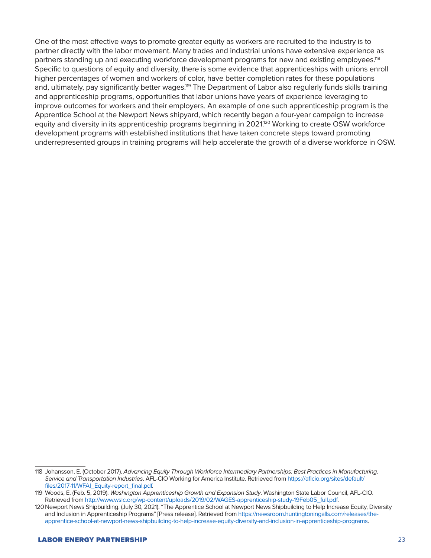One of the most effective ways to promote greater equity as workers are recruited to the industry is to partner directly with the labor movement. Many trades and industrial unions have extensive experience as partners standing up and executing workforce development programs for new and existing employees.<sup>118</sup> Specific to questions of equity and diversity, there is some evidence that apprenticeships with unions enroll higher percentages of women and workers of color, have better completion rates for these populations and, ultimately, pay significantly better wages.<sup>119</sup> The Department of Labor also regularly funds skills training and apprenticeship programs, opportunities that labor unions have years of experience leveraging to improve outcomes for workers and their employers. An example of one such apprenticeship program is the Apprentice School at the Newport News shipyard, which recently began a four-year campaign to increase equity and diversity in its apprenticeship programs beginning in 2021.<sup>120</sup> Working to create OSW workforce development programs with established institutions that have taken concrete steps toward promoting underrepresented groups in training programs will help accelerate the growth of a diverse workforce in OSW.

<sup>118</sup> Johansson, E. (October 2017). *Advancing Equity Through Workforce Intermediary Partnerships: Best Practices in Manufacturing, Service and Transportation Industries*. AFL-CIO Working for America Institute. Retrieved from [https://aflcio.org/sites/default/](https://aflcio.org/sites/default/files/2017-11/WFAI_Equity-report_final.pdf) [files/2017-11/WFAI\\_Equity-report\\_final.pdf](https://aflcio.org/sites/default/files/2017-11/WFAI_Equity-report_final.pdf).

<sup>119</sup> Woods, E. (Feb. 5, 2019). *Washington Apprenticeship Growth and Expansion Study*. Washington State Labor Council, AFL-CIO. Retrieved from [http://www.wslc.org/wp-content/uploads/2019/02/WAGES-apprenticeship-study-19Feb05\\_full.pdf.](http://www.wslc.org/wp-content/uploads/2019/02/WAGES-apprenticeship-study-19Feb05_full.pdf)

<sup>120</sup>Newport News Shipbuilding. (July 30, 2021). "The Apprentice School at Newport News Shipbuilding to Help Increase Equity, Diversity and Inclusion in Apprenticeship Programs" [Press release]. Retrieved from [https://newsroom.huntingtoningalls.com/releases/the](https://newsroom.huntingtoningalls.com/releases/the-apprentice-school-at-newport-news-shipbuilding-to-help-increase-equity-diversity-and-inclusion-in-apprenticeship-programs)[apprentice-school-at-newport-news-shipbuilding-to-help-increase-equity-diversity-and-inclusion-in-apprenticeship-programs](https://newsroom.huntingtoningalls.com/releases/the-apprentice-school-at-newport-news-shipbuilding-to-help-increase-equity-diversity-and-inclusion-in-apprenticeship-programs).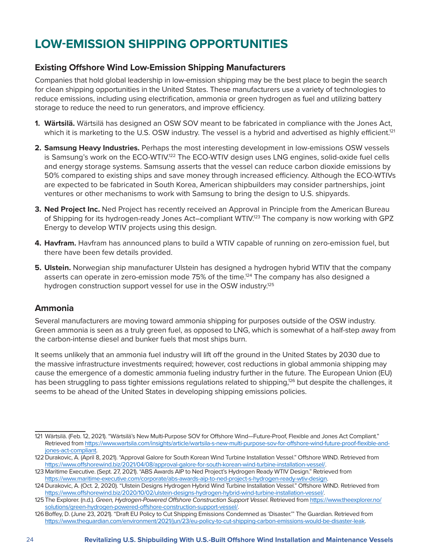### **LOW-EMISSION SHIPPING OPPORTUNITIES**

#### **Existing Offshore Wind Low-Emission Shipping Manufacturers**

Companies that hold global leadership in low-emission shipping may be the best place to begin the search for clean shipping opportunities in the United States. These manufacturers use a variety of technologies to reduce emissions, including using electrification, ammonia or green hydrogen as fuel and utilizing battery storage to reduce the need to run generators, and improve efficiency.

- **1. Wärtsilä.** Wärtsilä has designed an OSW SOV meant to be fabricated in compliance with the Jones Act, which it is marketing to the U.S. OSW industry. The vessel is a hybrid and advertised as highly efficient.<sup>121</sup>
- **2. Samsung Heavy Industries.** Perhaps the most interesting development in low-emissions OSW vessels is Samsung's work on the ECO-WTIV.<sup>122</sup> The ECO-WTIV design uses LNG engines, solid-oxide fuel cells and energy storage systems. Samsung asserts that the vessel can reduce carbon dioxide emissions by 50% compared to existing ships and save money through increased efficiency. Although the ECO-WTIVs are expected to be fabricated in South Korea, American shipbuilders may consider partnerships, joint ventures or other mechanisms to work with Samsung to bring the design to U.S. shipyards.
- **3. Ned Project Inc.** Ned Project has recently received an Approval in Principle from the American Bureau of Shipping for its hydrogen-ready Jones Act–compliant WTIV.<sup>123</sup> The company is now working with GPZ Energy to develop WTIV projects using this design.
- **4. Havfram.** Havfram has announced plans to build a WTIV capable of running on zero-emission fuel, but there have been few details provided.
- **5. Ulstein.** Norwegian ship manufacturer Ulstein has designed a hydrogen hybrid WTIV that the company asserts can operate in zero-emission mode 75% of the time.<sup>124</sup> The company has also designed a hydrogen construction support vessel for use in the OSW industry.<sup>125</sup>

#### **Ammonia**

Several manufacturers are moving toward ammonia shipping for purposes outside of the OSW industry. Green ammonia is seen as a truly green fuel, as opposed to LNG, which is somewhat of a half-step away from the carbon-intense diesel and bunker fuels that most ships burn.

It seems unlikely that an ammonia fuel industry will lift off the ground in the United States by 2030 due to the massive infrastructure investments required; however, cost reductions in global ammonia shipping may cause the emergence of a domestic ammonia fueling industry further in the future. The European Union (EU) has been struggling to pass tighter emissions regulations related to shipping.<sup>126</sup> but despite the challenges, it seems to be ahead of the United States in developing shipping emissions policies.

<sup>121</sup> Wärtsilä. (Feb. 12, 2021). "Wärtsilä's New Multi-Purpose SOV for Offshore Wind—Future-Proof, Flexible and Jones Act Compliant." Retrieved from [https://www.wartsila.com/insights/article/wartsila-s-new-multi-purpose-sov-for-offshore-wind-future-proof-flexible-and](https://www.wartsila.com/insights/article/wartsila-s-new-multi-purpose-sov-for-offshore-wind-future-proof-flexible-and-jones-act-compliant)[jones-act-compliant.](https://www.wartsila.com/insights/article/wartsila-s-new-multi-purpose-sov-for-offshore-wind-future-proof-flexible-and-jones-act-compliant)

<sup>122</sup>Durakovic, A. (April 8, 2021). "Approval Galore for South Korean Wind Turbine Installation Vessel." Offshore WIND. Retrieved from [https://www.offshorewind.biz/2021/04/08/approval-galore-for-south-korean-wind-turbine-installation-vessel/.](https://www.offshorewind.biz/2021/04/08/approval-galore-for-south-korean-wind-turbine-installation-vessel/)

<sup>123</sup> Maritime Executive. (Sept. 27, 2021). "ABS Awards AIP to Ned Project's Hydrogen Ready WTIV Design." Retrieved from [https://www.maritime-executive.com/corporate/abs-awards-aip-to-ned-project-s-hydrogen-ready-wtiv-design.](https://www.maritime-executive.com/corporate/abs-awards-aip-to-ned-project-s-hydrogen-ready-wtiv-design)

<sup>124</sup> Durakovic, A. (Oct. 2, 2020). "Ulstein Designs Hydrogen Hybrid Wind Turbine Installation Vessel." Offshore WIND. Retrieved from [https://www.offshorewind.biz/2020/10/02/ulstein-designs-hydrogen-hybrid-wind-turbine-installation-vessel/.](https://www.offshorewind.biz/2020/10/02/ulstein-designs-hydrogen-hybrid-wind-turbine-installation-vessel/)

<sup>125</sup>The Explorer. (n.d.). *Green, Hydrogen-Powered Offshore Construction Support Vessel*. Retrieved from [https://www.theexplorer.no/](https://www.theexplorer.no/solutions/green-hydrogen-powered-offshore-construction-support-vessel/) [solutions/green-hydrogen-powered-offshore-construction-support-vessel/.](https://www.theexplorer.no/solutions/green-hydrogen-powered-offshore-construction-support-vessel/)

<sup>126</sup>Boffey, D. (June 23, 2021). "Draft EU Policy to Cut Shipping Emissions Condemned as 'Disaster.'" The Guardian. Retrieved from <https://www.theguardian.com/environment/2021/jun/23/eu-policy-to-cut-shipping-carbon-emissions-would-be-disaster-leak>.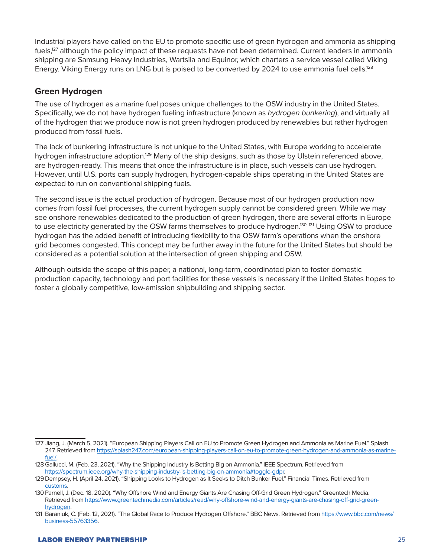Industrial players have called on the EU to promote specific use of green hydrogen and ammonia as shipping fuels,<sup>127</sup> although the policy impact of these requests have not been determined. Current leaders in ammonia shipping are Samsung Heavy Industries, Wartsila and Equinor, which charters a service vessel called Viking Energy. Viking Energy runs on LNG but is poised to be converted by 2024 to use ammonia fuel cells.<sup>128</sup>

#### **Green Hydrogen**

The use of hydrogen as a marine fuel poses unique challenges to the OSW industry in the United States. Specifically, we do not have hydrogen fueling infrastructure (known as *hydrogen bunkering*), and virtually all of the hydrogen that we produce now is not green hydrogen produced by renewables but rather hydrogen produced from fossil fuels.

The lack of bunkering infrastructure is not unique to the United States, with Europe working to accelerate hydrogen infrastructure adoption.<sup>129</sup> Many of the ship designs, such as those by Ulstein referenced above, are hydrogen-ready. This means that once the infrastructure is in place, such vessels can use hydrogen. However, until U.S. ports can supply hydrogen, hydrogen-capable ships operating in the United States are expected to run on conventional shipping fuels.

The second issue is the actual production of hydrogen. Because most of our hydrogen production now comes from fossil fuel processes, the current hydrogen supply cannot be considered green. While we may see onshore renewables dedicated to the production of green hydrogen, there are several efforts in Europe to use electricity generated by the OSW farms themselves to produce hydrogen.<sup>130, 131</sup> Using OSW to produce hydrogen has the added benefit of introducing flexibility to the OSW farm's operations when the onshore grid becomes congested. This concept may be further away in the future for the United States but should be considered as a potential solution at the intersection of green shipping and OSW.

Although outside the scope of this paper, a national, long-term, coordinated plan to foster domestic production capacity, technology and port facilities for these vessels is necessary if the United States hopes to foster a globally competitive, low-emission shipbuilding and shipping sector.

<sup>127</sup> Jiang, J. (March 5, 2021). "European Shipping Players Call on EU to Promote Green Hydrogen and Ammonia as Marine Fuel." Splash 247. Retrieved from [https://splash247.com/european-shipping-players-call-on-eu-to-promote-green-hydrogen-and-ammonia-as-marine](https://splash247.com/european-shipping-players-call-on-eu-to-promote-green-hydrogen-and-ammonia-as-marine-fuel/)[fuel/](https://splash247.com/european-shipping-players-call-on-eu-to-promote-green-hydrogen-and-ammonia-as-marine-fuel/).

<sup>128</sup>Gallucci, M. (Feb. 23, 2021). "Why the Shipping Industry Is Betting Big on Ammonia." IEEE Spectrum. Retrieved from [https://spectrum.ieee.org/why-the-shipping-industry-is-betting-big-on-ammonia#toggle-gdpr.](https://spectrum.ieee.org/why-the-shipping-industry-is-betting-big-on-ammonia#toggle-gdpr)

<sup>129</sup>Dempsey, H. (April 24, 2021). "Shipping Looks to Hydrogen as It Seeks to Ditch Bunker Fuel." Financial Times. Retrieved from customs.

<sup>130</sup> Parnell, J. (Dec. 18, 2020). "Why Offshore Wind and Energy Giants Are Chasing Off-Grid Green Hydrogen." Greentech Media. Retrieved from [https://www.greentechmedia.com/articles/read/why-offshore-wind-and-energy-giants-are-chasing-off-grid-green](https://www.greentechmedia.com/articles/read/why-offshore-wind-and-energy-giants-are-chasing-off-grid-green-hydrogen)[hydrogen.](https://www.greentechmedia.com/articles/read/why-offshore-wind-and-energy-giants-are-chasing-off-grid-green-hydrogen)

<sup>131</sup> Baraniuk, C. (Feb. 12, 2021). "The Global Race to Produce Hydrogen Offshore." BBC News. Retrieved from [https://www.bbc.com/news/](https://www.bbc.com/news/business-55763356) [business-55763356.](https://www.bbc.com/news/business-55763356)